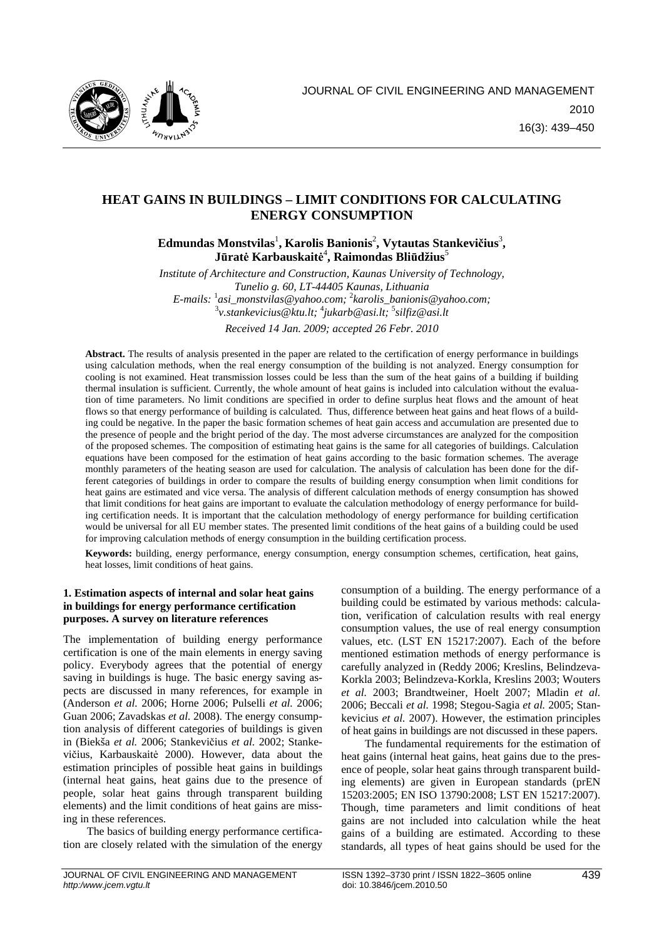

# **HEAT GAINS IN BUILDINGS – LIMIT CONDITIONS FOR CALCULATING ENERGY CONSUMPTION**

**Edmundas Monstvilas**<sup>1</sup> **, Karolis Banionis**<sup>2</sup> **, Vytautas Stankevičius**<sup>3</sup> **, Jūratė Karbauskaitė** 4 **, Raimondas Bliūdžius**<sup>5</sup>

*Institute of Architecture and Construction, Kaunas University of Technology, Tunelio g. 60, LT-44405 Kaunas, Lithuania E-mails:* <sup>1</sup> asi\_monstvilas@yahoo.com; <sup>2</sup> karolis\_banionis@yahoo.com; <sup>3</sup> x arolis *3* and *3* and *3* and *3* and *4* and *3* and *4* and *3* and *4* and *4* and *4* and *4* and *4* and *4* and *4* and *4* and *4* and *[v.stankevicius@ktu.lt;](mailto:v.stankevicius@ktu.lt)* <sup>4</sup> *[jukarb@asi.lt](mailto:jukarb@asi.lt);* <sup>5</sup> *[silfiz@asi.lt](mailto:silfiz@asi.lt)* 

*Received 14 Jan. 2009; accepted 26 Febr. 2010* 

Abstract. The results of analysis presented in the paper are related to the certification of energy performance in buildings using calculation methods, when the real energy consumption of the building is not analyzed. Energy consumption for cooling is not examined. Heat transmission losses could be less than the sum of the heat gains of a building if building thermal insulation is sufficient. Currently, the whole amount of heat gains is included into calculation without the evaluation of time parameters. No limit conditions are specified in order to define surplus heat flows and the amount of heat flows so that energy performance of building is calculated. Thus, difference between heat gains and heat flows of a building could be negative. In the paper the basic formation schemes of heat gain access and accumulation are presented due to the presence of people and the bright period of the day. The most adverse circumstances are analyzed for the composition of the proposed schemes. The composition of estimating heat gains is the same for all categories of buildings. Calculation equations have been composed for the estimation of heat gains according to the basic formation schemes. The average monthly parameters of the heating season are used for calculation. The analysis of calculation has been done for the different categories of buildings in order to compare the results of building energy consumption when limit conditions for heat gains are estimated and vice versa. The analysis of different calculation methods of energy consumption has showed that limit conditions for heat gains are important to evaluate the calculation methodology of energy performance for building certification needs. It is important that the calculation methodology of energy performance for building certification would be universal for all EU member states. The presented limit conditions of the heat gains of a building could be used for improving calculation methods of energy consumption in the building certification process.

**Keywords:** building, energy performance, energy consumption, energy consumption schemes, certification, heat gains, heat losses, limit conditions of heat gains.

# **1. Estimation aspects of internal and solar heat gains in buildings for energy performance certification purposes. A survey on literature references**

The implementation of building energy performance certification is one of the main elements in energy saving policy. Everybody agrees that the potential of energy saving in buildings is huge. The basic energy saving aspects are discussed in many references, for example in (Anderson *et al.* 2006; Horne 2006; Pulselli *et al.* 2006; Guan 2006; Zavadskas *et al.* 2008). The energy consumption analysis of different categories of buildings is given in (Biekša *et al.* 2006; Stankevičius *et al.* 2002; Stankevičius, Karbauskaitė 2000). However, data about the estimation principles of possible heat gains in buildings (internal heat gains, heat gains due to the presence of people, solar heat gains through transparent building elements) and the limit conditions of heat gains are missing in these references.

The basics of building energy performance certification are closely related with the simulation of the energy consumption of a building. The energy performance of a building could be estimated by various methods: calculation, verification of calculation results with real energy consumption values, the use of real energy consumption values, etc. (LST EN 15217:2007). Each of the before mentioned estimation methods of energy performance is carefully analyzed in (Reddy 2006; Kreslins, Belindzeva-Korkla 2003; Belindzeva-Korkla, Kreslins 2003; Wouters *et al.* 2003; [Brandtweiner, Hoelt 2](http://apps.isiknowledge.com/ISIP/CIW.cgi?SID=U1bNfmGFaF2iH6Pf5al&Func=OneClickSearch&field=AU&val=Brandtweiner,+R&curr_doc=1/8&Form=FullRecordPage&doc=1/8)007; [Mladin](http://apps.isiknowledge.com/ISIP/CIW.cgi?SID=U1bNfmGFaF2iH6Pf5al&Func=OneClickSearch&field=AU&val=Mladin,+EC&curr_doc=1/30&Form=FullRecordPage&doc=1/30) *et al.* 2006; [Beccali](http://apps.isiknowledge.com/ISIP/CIW.cgi?SID=U1bNfmGFaF2iH6Pf5al&Func=OneClickSearch&field=AU&val=Beccali+M&curr_doc=1/355&Form=FullRecordPage&doc=1/355) *et al.* 1998; [Stegou-Sagia](http://apps.isiknowledge.com/ISIP/CIW.cgi?SID=U1bNfmGFaF2iH6Pf5al&Func=OneClickSearch&field=AU&val=Stegou-Sagia+A&curr_doc=1/118&Form=FullRecordPage&doc=1/118) *et al.* 2005; Stankevicius *et al.* 2007). However, the estimation principles of heat gains in buildings are not discussed in these papers.

The fundamental requirements for the estimation of heat gains (internal heat gains, heat gains due to the presence of people, solar heat gains through transparent building elements) are given in European standards (prEN 15203:2005; EN ISO 13790:2008; LST EN 15217:2007). Though, time parameters and limit conditions of heat gains are not included into calculation while the heat gains of a building are estimated. According to these standards, all types of heat gains should be used for the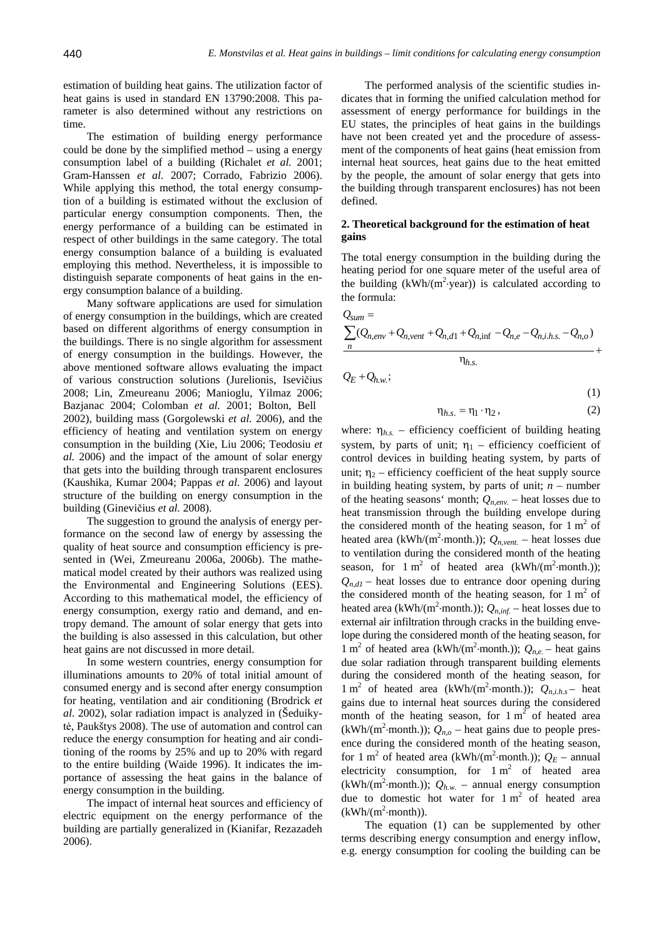estimation of building heat gains. The utilization factor of heat gains is used in standard EN 13790:2008. This parameter is also determined without any restrictions on time.

The estimation of building energy performance could be done by the simplified method – using a energy consumption label of a building [\(Richalet](http://apps.isiknowledge.com/ISIP/CIW.cgi?SID=U1bNfmGFaF2iH6Pf5al&Func=OneClickSearch&field=AU&val=Richalet+V&curr_doc=1/275&Form=FullRecordPage&doc=1/275) *et al.* 2001; [Gram-Hanssen](http://apps.isiknowledge.com/ISIP/CIW.cgi?SID=U1bNfmGFaF2iH6Pf5al&Func=OneClickSearch&field=AU&val=Gram-Hanssen,+K&curr_doc=1/22&Form=FullRecordPage&doc=1/22) *et al.* 2007; [Corrado,](http://apps.isiknowledge.com/ISIP/CIW.cgi?SID=U1bNfmGFaF2iH6Pf5al&Func=OneClickSearch&field=AU&val=Corrado+V&curr_doc=1/46&Form=FullRecordPage&doc=1/46) [Fabrizio](http://apps.isiknowledge.com/ISIP/CIW.cgi?SID=U1bNfmGFaF2iH6Pf5al&Func=OneClickSearch&field=AU&val=Fabrizio+E&curr_doc=1/46&Form=FullRecordPage&doc=1/46) 2006). While applying this method, the total energy consumption of a building is estimated without the exclusion of particular energy consumption components. Then, the energy performance of a building can be estimated in respect of other buildings in the same category. The total energy consumption balance of a building is evaluated employing this method. Nevertheless, it is impossible to distinguish separate components of heat gains in the energy consumption balance of a building.

Many software applications are used for simulation of energy consumption in the buildings, which are created based on different algorithms of energy consumption in the buildings. There is no single algorithm for assessment of energy consumption in the buildings. However, the above mentioned software allows evaluating the impact of various construction solutions (Jurelionis, Isevičius 2008; [Lin,](http://apps.isiknowledge.com/ISIP/CIW.cgi?SID=U1bNfmGFaF2iH6Pf5al&Func=OneClickSearch&field=AU&val=Lin+Y&curr_doc=1/45&Form=FullRecordPage&doc=1/45) [Zmeureanu](http://apps.isiknowledge.com/ISIP/CIW.cgi?SID=U1bNfmGFaF2iH6Pf5al&Func=OneClickSearch&field=AU&val=Zmeureanu+R&curr_doc=1/45&Form=FullRecordPage&doc=1/45) 2006; [Manioglu,](http://apps.isiknowledge.com/ISIP/CIW.cgi?SID=U1bNfmGFaF2iH6Pf5al&Func=OneClickSearch&field=AU&val=Manioglu+G&curr_doc=1/47&Form=FullRecordPage&doc=1/47) [Yilmaz](http://apps.isiknowledge.com/ISIP/CIW.cgi?SID=U1bNfmGFaF2iH6Pf5al&Func=OneClickSearch&field=AU&val=Yilmaz+Z&curr_doc=1/47&Form=FullRecordPage&doc=1/47) 2006; [Bazjanac](http://apps.isiknowledge.com/ISIP/CIW.cgi?SID=U1bNfmGFaF2iH6Pf5al&Func=OneClickSearch&field=AU&val=Bazjanac+V&curr_doc=1/153&Form=FullRecordPage&doc=1/153) 2004; [Colomban](http://apps.isiknowledge.com/ISIP/CIW.cgi?SID=U1bNfmGFaF2iH6Pf5al&Func=OneClickSearch&field=AU&val=Colomban+M&curr_doc=1/190&Form=FullRecordPage&doc=1/190) *et al.* 2001; [Bolton,](http://apps.isiknowledge.com/ISIP/CIW.cgi?SID=U1bNfmGFaF2iH6Pf5al&Func=OneClickSearch&field=AU&val=Bolton+JM&curr_doc=1/199&Form=FullRecordPage&doc=1/199) [Bell](http://apps.isiknowledge.com/ISIP/CIW.cgi?SID=U1bNfmGFaF2iH6Pf5al&Func=OneClickSearch&field=AU&val=Bell+D&curr_doc=1/199&Form=FullRecordPage&doc=1/199)  2002), building mass ([Gorgolewski](http://apps.isiknowledge.com/ISIP/CIW.cgi?SID=U1bNfmGFaF2iH6Pf5al&Func=OneClickSearch&field=AU&val=Gorgolewski+MT&curr_doc=1/48&Form=FullRecordPage&doc=1/48) *et al.* 2006), and the efficiency of heating and ventilation system on energy consumption in the building [\(Xie,](http://apps.isiknowledge.com/ISIP/CIW.cgi?SID=U1bNfmGFaF2iH6Pf5al&Func=OneClickSearch&field=AU&val=Xie+LH&curr_doc=1/54&Form=FullRecordPage&doc=1/54) [Liu](http://apps.isiknowledge.com/ISIP/CIW.cgi?SID=U1bNfmGFaF2iH6Pf5al&Func=OneClickSearch&field=AU&val=Liu+XJ&curr_doc=1/54&Form=FullRecordPage&doc=1/54) 2006; [Teodosiu](http://apps.isiknowledge.com/ISIP/CIW.cgi?SID=U1bNfmGFaF2iH6Pf5al&Func=OneClickSearch&field=AU&val=Teodosiu,+C&curr_doc=1/23&Form=FullRecordPage&doc=1/23) *et al.* 2006) and the impact of the amount of solar energy that gets into the building through transparent enclosures [\(Kaushika,](http://apps.isiknowledge.com/ISIP/CIW.cgi?SID=U1bNfmGFaF2iH6Pf5al&Func=OneClickSearch&field=AU&val=Kaushika+ND&curr_doc=1/139&Form=FullRecordPage&doc=1/139) [Kumar](http://apps.isiknowledge.com/ISIP/CIW.cgi?SID=U1bNfmGFaF2iH6Pf5al&Func=OneClickSearch&field=AU&val=Kumar+P&curr_doc=1/139&Form=FullRecordPage&doc=1/139) 2004; [Pappas](http://apps.isiknowledge.com/ISIP/CIW.cgi?SID=U1bNfmGFaF2iH6Pf5al&Func=OneClickSearch&field=AU&val=Pappas,+A&curr_doc=1/36&Form=FullRecordPage&doc=1/36) *et al.* 2006) and layout structure of the building on energy consumption in the building (Ginevičius *et al.* 2008).

The suggestion to ground the analysis of energy performance on the second law of energy by assessing the quality of heat source and consumption efficiency is presented in [\(Wei,](http://apps.isiknowledge.com/ISIP/CIW.cgi?SID=U1bNfmGFaF2iH6Pf5al&Func=OneClickSearch&field=AU&val=Wei+ZT&curr_doc=1/44&Form=FullRecordPage&doc=1/44) [Zmeureanu](http://apps.isiknowledge.com/ISIP/CIW.cgi?SID=U1bNfmGFaF2iH6Pf5al&Func=OneClickSearch&field=AU&val=Zmeureanu+R&curr_doc=1/44&Form=FullRecordPage&doc=1/44) 2006a, 2006b). The mathematical model created by their authors was realized using the Environmental and Engineering Solutions (EES). According to this mathematical model, the efficiency of energy consumption, exergy ratio and demand, and entropy demand. The amount of solar energy that gets into the building is also assessed in this calculation, but other heat gains are not discussed in more detail.

In some western countries, energy consumption for illuminations amounts to 20% of total initial amount of consumed energy and is second after energy consumption for heating, ventilation and air conditioning [\(Brodrick](http://apps.isiknowledge.com/ISIP/CIW.cgi?SID=U1bNfmGFaF2iH6Pf5al&Func=OneClickSearch&field=AU&val=Brodrick+JR&curr_doc=1/205&Form=FullRecordPage&doc=1/205) *et al*. 2002), solar radiation impact is analyzed in (Šeduikytė, Paukštys 2008). The use of automation and control can reduce the energy consumption for heating and air conditioning of the rooms by 25% and up to 20% with regard to the entire building ([Waide](http://apps.isiknowledge.com/ISIP/CIW.cgi?SID=U1bNfmGFaF2iH6Pf5al&Func=OneClickSearch&field=AU&val=Waide+P&curr_doc=1/332&Form=FullRecordPage&doc=1/332) 1996). It indicates the importance of assessing the heat gains in the balance of energy consumption in the building.

The impact of internal heat sources and efficiency of electric equipment on the energy performance of the building are partially generalized in [\(Kianifar,](http://apps.isiknowledge.com/ISIP/CIW.cgi?SID=U1bNfmGFaF2iH6Pf5al&Func=OneClickSearch&field=AU&val=Kianifar,+A&curr_doc=1/14&Form=FullRecordPage&doc=1/14) [Rezazadeh](http://apps.isiknowledge.com/ISIP/CIW.cgi?SID=U1bNfmGFaF2iH6Pf5al&Func=OneClickSearch&field=AU&val=Rezazadeh,+M&curr_doc=1/14&Form=FullRecordPage&doc=1/14)  2006).

The performed analysis of the scientific studies indicates that in forming the unified calculation method for assessment of energy performance for buildings in the EU states, the principles of heat gains in the buildings have not been created yet and the procedure of assessment of the components of heat gains (heat emission from internal heat sources, heat gains due to the heat emitted by the people, the amount of solar energy that gets into the building through transparent enclosures) has not been defined.

# **2. Theoretical background for the estimation of heat gains**

The total energy consumption in the building during the heating period for one square meter of the useful area of the building  $(kWh/(m^2 \cdot year))$  is calculated according to the formula:

$$
Q_{sum} = \frac{\sum_{n} (Q_{n,env} + Q_{n,vent} + Q_{n,d1} + Q_{n,inf} - Q_{n,e} - Q_{n,i,h.s.} - Q_{n,o})}{\eta_{h.s.}} +
$$

$$
Q_E+Q_{h.w.};
$$

$$
(1)
$$

$$
\eta_{h.s.} = \eta_1 \cdot \eta_2, \qquad (2)
$$

where:  $\eta_{h.s.}$  – efficiency coefficient of building heating system, by parts of unit;  $\eta_1$  – efficiency coefficient of control devices in building heating system, by parts of unit;  $\eta_2$  – efficiency coefficient of the heat supply source in building heating system, by parts of unit;  $n -$  number of the heating seasons' month;  $Q_{n,env.}$  – heat losses due to heat transmission through the building envelope during the considered month of the heating season, for  $1 \text{ m}^2$  of heated area (kWh/(m<sup>2</sup>·month.));  $Q_{n,vent.}$  – heat losses due to ventilation during the considered month of the heating season, for  $1 \text{ m}^2$  of heated area (kWh/(m<sup>2</sup>·month.));  $Q_{n,d}$ <sup>-</sup> heat losses due to entrance door opening during the considered month of the heating season, for  $1 \text{ m}^2$  of heated area (kWh/(m<sup>2</sup>·month.));  $Q_{n, inf.}$  – heat losses due to external air infiltration through cracks in the building envelope during the considered month of the heating season, for 1 m<sup>2</sup> of heated area (kWh/(m<sup>2</sup>·month.));  $Q_{n,e}$  – heat gains due solar radiation through transparent building elements during the considered month of the heating season, for 1 m<sup>2</sup> of heated area (kWh/(m<sup>2</sup>·month.));  $Q_{n,i,h,s}$  heat gains due to internal heat sources during the considered month of the heating season, for  $1 \text{ m}^2$  of heated area  $(kWh/(m^2 \cdot month.)); Q_{n,o}$  – heat gains due to people presence during the considered month of the heating season, for 1 m<sup>2</sup> of heated area (kWh/(m<sup>2</sup>·month.));  $Q_E$  – annual electricity consumption, for  $1 \text{ m}^2$  of heated area  $(kWh/(m^2 \cdot month.)); Q_{h.w.}$  – annual energy consumption due to domestic hot water for  $1 \text{ m}^2$  of heated area  $(kWh/(m^2 \cdot month)).$ 

The equation (1) can be supplemented by other terms describing energy consumption and energy inflow, e.g. energy consumption for cooling the building can be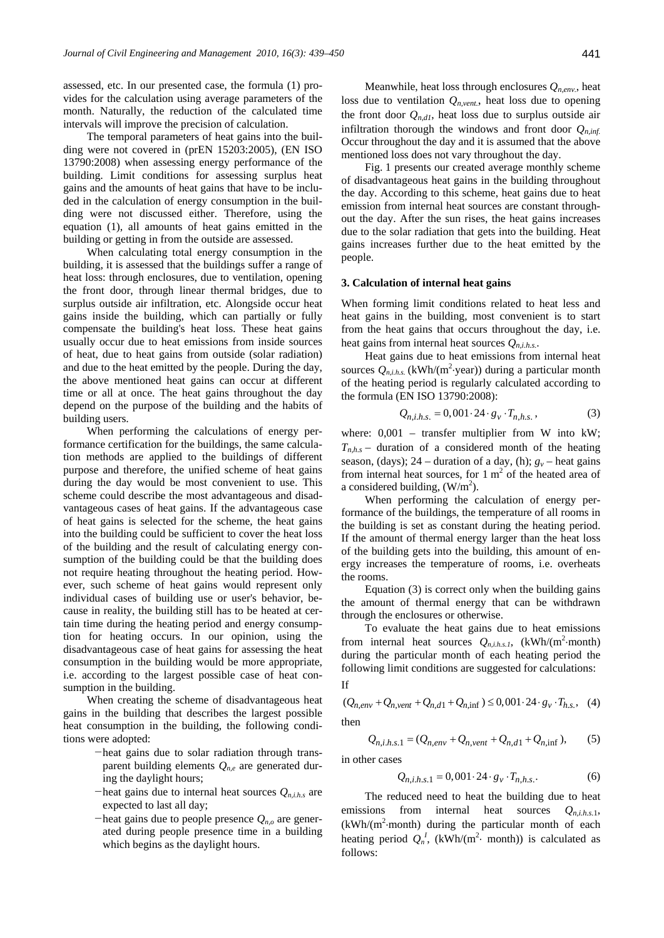assessed, etc. In our presented case, the formula (1) provides for the calculation using average parameters of the month. Naturally, the reduction of the calculated time intervals will improve the precision of calculation.

The temporal parameters of heat gains into the building were not covered in (prEN 15203:2005), (EN ISO 13790:2008) when assessing energy performance of the building. Limit conditions for assessing surplus heat gains and the amounts of heat gains that have to be included in the calculation of energy consumption in the building were not discussed either. Therefore, using the equation (1), all amounts of heat gains emitted in the building or getting in from the outside are assessed.

heat loss: through enclosures, due to ventilation, opening the front door, through linear thermal bridges, due to surplus outside air infiltration, etc. Alongside occur heat gains inside the building, which can partially or fully compensate the building's heat loss. These heat gains usually occur due to heat emissions from inside sources of heat, due to heat gains from outside (solar radiation) and due to the heat emitted by the people. During the day, the above mentioned heat gains can occur at different time or all at once. The heat gains throughout the day depend on the purpose of the building and the habits of building users.

When performing the calculations of energy performance certification for the buildings, the same calculation methods are applied to the buildings of different purpose and therefore, the unified scheme of heat gains during the day would be most convenient to use. This scheme could describe the most advantageous and disadvantageous cases of heat gains. If the advantageous case of heat gains is selected for the scheme, the heat gains into the building could be sufficient to cover the heat loss of the building and the result of calculating energy consumption of the building could be that the building does not require heating throughout the heating period. However, such scheme of heat gains would represent only individual cases of building use or user's behavior, because in reality, the building still has to be heated at certain time during the heating period and energy consumption for heating occurs. In our opinion, using the disadvantageous case of heat gains for assessing the heat consumption in the building would be more appropriate, i.e. according to the largest possible case of heat consumption in the building.

When creating the scheme of disadvantageous heat gains in the building that describes the largest possible heat consumption in the building, the following conditions were adopted:

- −heat gains due to solar radiation through transparent building elements *Qn,e* are generated during the daylight hours;
- −heat gains due to internal heat sources *Qn,i.h.s* are expected to last all day;
- −heat gains due to people presence *Qn,o* are generated during people presence time in a building which begins as the daylight hours.

Meanwhile, heat loss through enclosures  $Q_{n,env}$ , heat loss due to ventilation  $Q_{n,vent}$ , heat loss due to opening the front door  $Q_{n,d}$ , heat loss due to surplus outside air infiltration thorough the windows and front door  $Q_{n,inf}$ . Occur throughout the day and it is assumed that the above mentioned loss does not vary throughout the day.

Fig. 1 presents our created average monthly scheme of disadvantageous heat gains in the building throughout the day. According to this scheme, heat gains due to heat emission from internal heat sources are constant throughout the day. After the sun rises, the heat gains increases due to the solar radiation that gets into the building. Heat building or getting in from the outside are assessed.<br>When calculating total energy consumption in the people.<br>building, it is assessed that the buildings suffer a range of

#### **3. Calculation of internal heat gains**

When forming limit conditions related to heat less and heat gains in the building, most convenient is to start from the heat gains that occurs throughout the day, i.e. heat gains from internal heat sources *Qn,i.h.s.*.

Heat gains due to heat emissions from internal heat sources  $Q_{n,i,h,s}$  (kWh/(m<sup>2</sup>·year)) during a particular month of the heating period is regularly calculated according to the formula (EN ISO 13790:2008):

$$
Q_{n,i,h,s.} = 0.001 \cdot 24 \cdot g_v \cdot T_{n,h,s.},\tag{3}
$$

where: 0,001 – transfer multiplier from W into kW;  $T_{n,h,s}$  – duration of a considered month of the heating season, (days);  $24$  – duration of a day, (h);  $g_y$  – heat gains from internal heat sources, for  $1 \text{ m}^2$  of the heated area of a considered building,  $(W/m<sup>2</sup>)$ .

When performing the calculation of energy performance of the buildings, the temperature of all rooms in the building is set as constant during the heating period. If the amount of thermal energy larger than the heat loss of the building gets into the building, this amount of energy increases the temperature of rooms, i.e. overheats the rooms.

Equation (3) is correct only when the building gains the amount of thermal energy that can be withdrawn through the enclosures or otherwise.

To evaluate the heat gains due to heat emissions from internal heat sources  $Q_{n,i,h,s,l}$ , (kWh/(m<sup>2</sup>·month) during the particular month of each heating period the following limit conditions are suggested for calculations: If

 $(Q_{n, env} + Q_{n, vent} + Q_{n, d1} + Q_{n, inf}) \leq 0,001 \cdot 24 \cdot g_v \cdot T_{h.s.}$ , (4) then

$$
Q_{n,i,h,s,1} = (Q_{n,env} + Q_{n,vent} + Q_{n,d1} + Q_{n,inf}),
$$
 (5)

in other cases

$$
Q_{n,i,h,s,1} = 0,001 \cdot 24 \cdot g_v \cdot T_{n,h,s}.\tag{6}
$$

The reduced need to heat the building due to heat emissions from internal heat sources  $Q_{n,i,h,s,1}$ ,  $(kWh/(m^2 \cdot month)$  during the particular month of each heating period  $Q_n^I$ , (kWh/(m<sup>2</sup>· month)) is calculated as follows: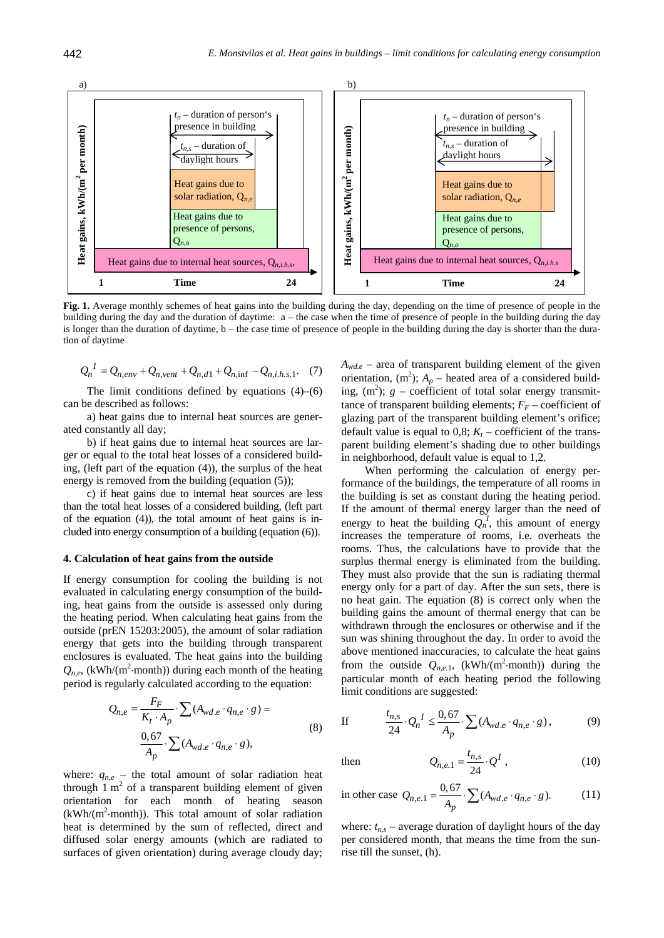

**Fig. 1.** Average monthly schemes of heat gains into the building during the day, depending on the time of presence of people in the building during the day and the duration of daytime: a – the case when the time of presence of people in the building during the day is longer than the duration of daytime, b – the case time of presence of people in the building during the day is shorter than the duration of daytime

$$
Q_n^I = Q_{n,env} + Q_{n,vent} + Q_{n,d1} + Q_{n,\inf} - Q_{n,i,h,s,1}.
$$
 (7)

The limit conditions defined by equations  $(4)$ – $(6)$ can be described as follows:

a) heat gains due to internal heat sources are generated constantly all day;

b) if heat gains due to internal heat sources are larger or equal to the total heat losses of a considered building, (left part of the equation (4)), the surplus of the heat energy is removed from the building (equation  $(5)$ );

c) if heat gains due to internal heat sources are less than the total heat losses of a considered building, (left part of the equation (4)), the total amount of heat gains is included into energy consumption of a building (equation (6)).

#### **4. Calculation of heat gains from the outside**

If energy consumption for cooling the building is not evaluated in calculating energy consumption of the building, heat gains from the outside is assessed only during the heating period. When calculating heat gains from the outside (prEN 15203:2005), the amount of solar radiation energy that gets into the building through transparent enclosures is evaluated. The heat gains into the building  $Q_{n,e}$ , (kWh/(m<sup>2</sup>·month)) during each month of the heating period is regularly calculated according to the equation:

$$
Q_{n,e} = \frac{F_F}{K_t \cdot A_p} \cdot \sum (A_{wd,e} \cdot q_{n,e} \cdot g) =
$$
  

$$
\frac{0,67}{A_p} \cdot \sum (A_{wd,e} \cdot q_{n,e} \cdot g),
$$
 (8)

where:  $q_{n,e}$  – the total amount of solar radiation heat through  $1 \text{ m}^2$  of a transparent building element of given orientation for each month of heating season  $(kWh/(m^2 \cdot month))$ . This total amount of solar radiation heat is determined by the sum of reflected, direct and diffused solar energy amounts (which are radiated to surfaces of given orientation) during average cloudy day;

 $A_{wd,e}$  – area of transparent building element of the given orientation,  $(m^2)$ ;  $A_p$  – heated area of a considered building,  $(m^2)$ ;  $g$  – coefficient of total solar energy transmittance of transparent building elements;  $F_F$  – coefficient of glazing part of the transparent building element's orifice; default value is equal to 0,8;  $K_t$  – coefficient of the transparent building element's shading due to other buildings in neighborhood, default value is equal to 1,2.

When performing the calculation of energy performance of the buildings, the temperature of all rooms in the building is set as constant during the heating period. If the amount of thermal energy larger than the need of energy to heat the building  $Q_n^I$ , this amount of energy increases the temperature of rooms, i.e. overheats the rooms. Thus, the calculations have to provide that the surplus thermal energy is eliminated from the building. They must also provide that the sun is radiating thermal energy only for a part of day. After the sun sets, there is no heat gain. The equation (8) is correct only when the building gains the amount of thermal energy that can be withdrawn through the enclosures or otherwise and if the sun was shining throughout the day. In order to avoid the above mentioned inaccuracies, to calculate the heat gains from the outside  $Q_{n,e,1}$ , (kWh/(m<sup>2</sup>·month)) during the particular month of each heating period the following limit conditions are suggested:

If 
$$
\frac{t_{n,s}}{24} \cdot Q_n^I \leq \frac{0.67}{A_p} \cdot \sum (A_{wd,e} \cdot q_{n,e} \cdot g),
$$
 (9)

then 
$$
Q_{n,e,1} = \frac{t_{n,s}}{24} \cdot Q^I
$$
, (10)

in other case 
$$
Q_{n,e,1} = \frac{0.67}{A_p} \cdot \sum (A_{wd,e} \cdot q_{n,e} \cdot g).
$$
 (11)

where:  $t_{n,s}$  – average duration of daylight hours of the day per considered month, that means the time from the sunrise till the sunset, (h).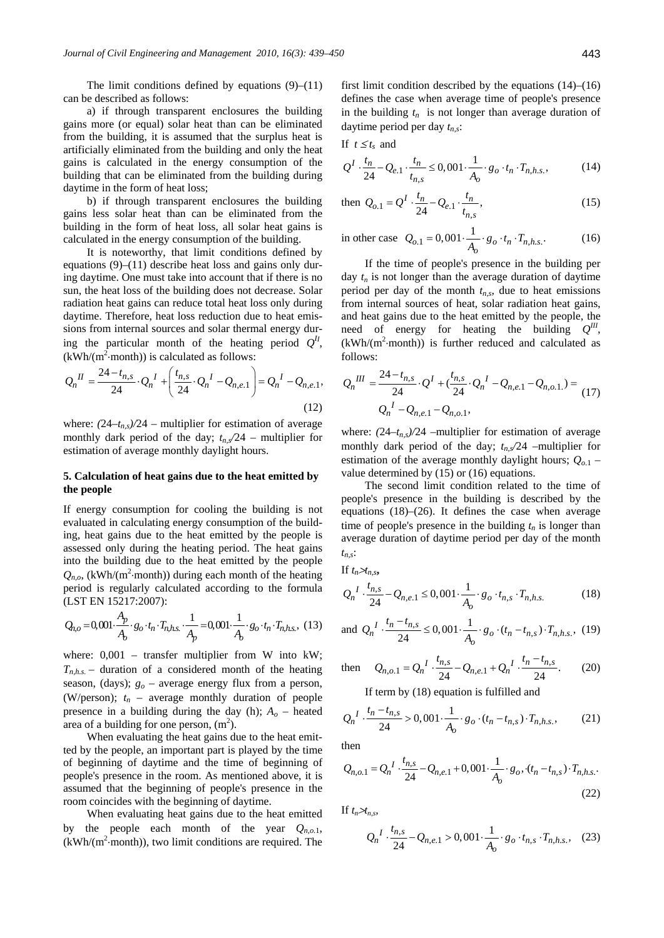The limit conditions defined by equations  $(9)$ – $(11)$ can be described as follows:

a) if through transparent enclosures the building gains more (or equal) solar heat than can be eliminated from the building, it is assumed that the surplus heat is artificially eliminated from the building and only the heat gains is calculated in the energy consumption of the building that can be eliminated from the building during daytime in the form of heat loss;

b) if through transparent enclosures the building gains less solar heat than can be eliminated from the building in the form of heat loss, all solar heat gains is calculated in the energy consumption of the building.

It is noteworthy, that limit conditions defined by equations  $(9)$ – $(11)$  describe heat loss and gains only during daytime. One must take into account that if there is no sun, the heat loss of the building does not decrease. Solar radiation heat gains can reduce total heat loss only during daytime. Therefore, heat loss reduction due to heat emissions from internal sources and solar thermal energy during the particular month of the heating period  $Q<sup>I</sup>$ ,  $(kWh/(m^2 \cdot month))$  is calculated as follows:

$$
Q_n^I = \frac{24 - t_{n,s}}{24} \cdot Q_n^I + \left(\frac{t_{n,s}}{24} \cdot Q_n^I - Q_{n,e,1}\right) = Q_n^I - Q_{n,e,1},\tag{12}
$$

where:  $(24-t_n s)/24$  – multiplier for estimation of average monthly dark period of the day;  $t_n \sqrt{24}$  – multiplier for estimation of average monthly daylight hours.

## **5. Calculation of heat gains due to the heat emitted by the people**

If energy consumption for cooling the building is not evaluated in calculating energy consumption of the building, heat gains due to the heat emitted by the people is assessed only during the heating period. The heat gains into the building due to the heat emitted by the people  $Q_{n,o}$ , (kWh/(m<sup>2</sup>·month)) during each month of the heating period is regularly calculated according to the formula (LST EN 15217:2007):

$$
Q_{n,o} = 0,001 \cdot \frac{A_p}{A_o} \cdot g_o \cdot t_n \cdot T_{n,h,s} \cdot \frac{1}{A_p} = 0,001 \cdot \frac{1}{A_o} \cdot g_o \cdot t_n \cdot T_{n,h,s}, (13)
$$

where:  $0,001$  – transfer multiplier from W into kW;  $T_{n,h,s}$  – duration of a considered month of the heating season, (days);  $g<sub>o</sub>$  – average energy flux from a person, (W/person);  $t_n$  – average monthly duration of people presence in a building during the day (h);  $A<sub>o</sub>$  – heated area of a building for one person,  $(m<sup>2</sup>)$ .

When evaluating the heat gains due to the heat emitted by the people, an important part is played by the time of beginning of daytime and the time of beginning of people's presence in the room. As mentioned above, it is assumed that the beginning of people's presence in the room coincides with the beginning of daytime.

When evaluating heat gains due to the heat emitted by the people each month of the year  $Q_{n,0,1}$ ,  $(kWh/(m^2 \cdot month))$ , two limit conditions are required. The first limit condition described by the equations  $(14)$ – $(16)$ defines the case when average time of people's presence in the building  $t_n$  is not longer than average duration of daytime period per day *tn,s*:

If  $t \leq t_s$  and

$$
Q^I \cdot \frac{t_n}{24} - Q_{e,1} \cdot \frac{t_n}{t_{n,s}} \le 0,001 \cdot \frac{1}{A_o} \cdot g_o \cdot t_n \cdot T_{n,h,s} \tag{14}
$$

then 
$$
Q_{o.1} = Q^I \cdot \frac{t_n}{24} - Q_{e.1} \cdot \frac{t_n}{t_{n,s}}
$$
, (15)

in other case 
$$
Q_{o.1} = 0.001 \cdot \frac{1}{A_o} \cdot g_o \cdot t_n \cdot T_{n,h.s.}
$$
 (16)

If the time of people's presence in the building per day  $t_n$  is not longer than the average duration of daytime period per day of the month  $t_{ns}$ , due to heat emissions from internal sources of heat, solar radiation heat gains, and heat gains due to the heat emitted by the people, the need of energy for heating the building  $Q^{\prime\prime\prime}$ ,  $(kWh/(m^2 \cdot month))$  is further reduced and calculated as follows:

$$
Q_n^{III} = \frac{24 - t_{n,s}}{24} \cdot Q^I + (\frac{t_{n,s}}{24} \cdot Q_n^I - Q_{n,e,1} - Q_{n,o,1}) =
$$
  

$$
Q_n^I - Q_{n,e,1} - Q_{n,o,1},
$$
 (17)

where:  $(24-t_{n,s})/24$  –multiplier for estimation of average monthly dark period of the day;  $t_n \sqrt{24}$  –multiplier for estimation of the average monthly daylight hours;  $Q_{o,1}$  – value determined by (15) or (16) equations.

The second limit condition related to the time of people's presence in the building is described by the equations (18)–(26). It defines the case when average time of people's presence in the building  $t_n$  is longer than average duration of daytime period per day of the month  $t_n$ .

If 
$$
t_n \geq t_{n,s}
$$
,

$$
Q_n^I \cdot \frac{t_{n,s}}{24} - Q_{n,e,1} \le 0,001 \cdot \frac{1}{A_o} \cdot g_o \cdot t_{n,s} \cdot T_{n,h,s}.
$$
 (18)

and 
$$
Q_n^I \cdot \frac{t_n - t_{n,s}}{24} \le 0,001 \cdot \frac{1}{A_o} \cdot g_o \cdot (t_n - t_{n,s}) \cdot T_{n,h,s} \tag{19}
$$

then 
$$
Q_{n,o,1} = Q_n^I \cdot \frac{t_{n,s}}{24} - Q_{n,e,1} + Q_n^I \cdot \frac{t_n - t_{n,s}}{24}
$$
. (20)

If term by (18) equation is fulfilled and

$$
Q_n^I \cdot \frac{t_n - t_{n,s}}{24} > 0,001 \cdot \frac{1}{A_o} \cdot g_o \cdot (t_n - t_{n,s}) \cdot T_{n,h,s} \tag{21}
$$

then

$$
Q_{n,o.1} = Q_n^I \cdot \frac{t_{n,s}}{24} - Q_{n,e.1} + 0,001 \cdot \frac{1}{A_o} \cdot g_o, \cdot (t_n - t_{n,s}) \cdot T_{n,h,s}.
$$
\n(22)

If  $t_n \geq t_{n,s}$ ,

$$
Q_n^I \cdot \frac{t_{n,s}}{24} - Q_{n,e,1} > 0,001 \cdot \frac{1}{A_o} \cdot g_o \cdot t_{n,s} \cdot T_{n,h,s}, \quad (23)
$$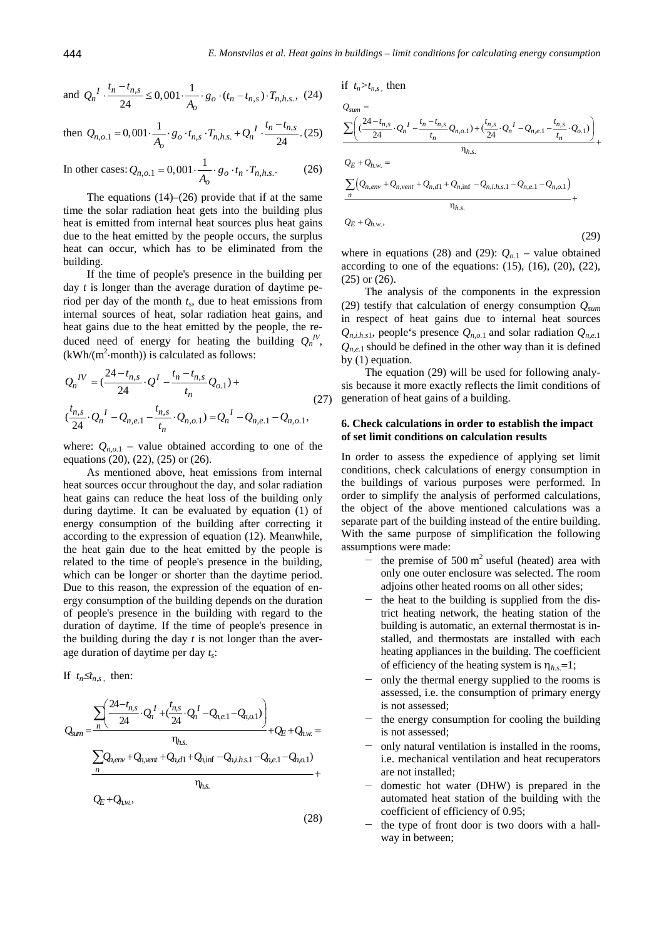and 
$$
Q_n^I \cdot \frac{t_n - t_{n,s}}{24} \le 0,001 \cdot \frac{1}{A_o} \cdot g_o \cdot (t_n - t_{n,s}) \cdot T_{n,h,s}
$$
, (24)

then 
$$
Q_{n,o.1} = 0.001 \cdot \frac{1}{A_o} \cdot g_o \cdot t_{n,s} \cdot T_{n,h.s.} + Q_n^I \cdot \frac{t_n - t_{n,s}}{24}
$$
. (25)

In other cases: 
$$
Q_{n,o,1} = 0,001 \cdot \frac{1}{A_o} \cdot g_o \cdot t_n \cdot T_{n,h.s.}
$$
. (26)

The equations  $(14)$ – $(26)$  provide that if at the same time the solar radiation heat gets into the building plus heat is emitted from internal heat sources plus heat gains due to the heat emitted by the people occurs, the surplus heat can occur, which has to be eliminated from the building.

If the time of people's presence in the building per day *t* is longer than the average duration of daytime period per day of the month  $t_s$ , due to heat emissions from internal sources of heat, solar radiation heat gains, and heat gains due to the heat emitted by the people, the reduced need of energy for heating the building  $Q_n^N$ ,  $(kWh/(m^2 \cdot month))$  is calculated as follows:

$$
Q_n^{IV} = \left(\frac{24 - t_{n,s}}{24} \cdot Q^I - \frac{t_n - t_{n,s}}{t_n} Q_{o,1}\right) +
$$
  
\n
$$
\left(\frac{t_{n,s}}{24} \cdot Q_n^I - Q_{n,e,1} - \frac{t_{n,s}}{t_n} \cdot Q_{n,o,1}\right) = Q_n^I - Q_{n,e,1} - Q_{n,o,1},
$$
\n(27)

where:  $Q_{n,0,1}$  – value obtained according to one of the equations (20), (22), (25) or (26).

As mentioned above, heat emissions from internal heat sources occur throughout the day, and solar radiation heat gains can reduce the heat loss of the building only during daytime. It can be evaluated by equation (1) of energy consumption of the building after correcting it according to the expression of equation (12). Meanwhile, the heat gain due to the heat emitted by the people is related to the time of people's presence in the building, which can be longer or shorter than the daytime period. Due to this reason, the expression of the equation of energy consumption of the building depends on the duration of people's presence in the building with regard to the duration of daytime. If the time of people's presence in the building during the day *t* is not longer than the average duration of daytime per day *ts*:

If  $t_n \leq t_{n,s}$ , then:

$$
Q_{sum} = \frac{\sum_{n} \left( \frac{24 - t_{n,s}}{24} \cdot Q_n^I + \left( \frac{t_{n,s}}{24} \cdot Q_n^I - Q_{n,e,1} - Q_{n,o,1} \right) \right)}{\eta_{h.s.}} + Q_E + Q_{h.w.} = \frac{\sum_{n} Q_{n,env} + Q_{n,vent} + Q_{n,d,1} + Q_{n,inf} - Q_{n,i,h,s,1} - Q_{n,e,1} - Q_{n,o,1})}{\eta_{h.s.}} + Q_E + Q_{h.w.},
$$

(28)

$$
Q_{sum} = \frac{\sum \left( \frac{24 - t_{n,s}}{24} \cdot Q_n^I - \frac{t_n - t_{n,s}}{t_n} Q_{n,o,1}) + (\frac{t_{n,s}}{24} \cdot Q_n^I - Q_{n,e,1} - \frac{t_{n,s}}{t_n} \cdot Q_{o,1}) \right)}{n_{h.s.}} + \frac{n_{h.s.}}{Q_E + Q_{h,w}} = \frac{\sum (Q_{n,env} + Q_{n,vent} + Q_{n,d,1} + Q_{n,int} - Q_{n,i,h,s,1} - Q_{n,e,1} - Q_{n,o,1})}{n_{h.s.}} + \frac{n_{h.s.}}{Q_E + Q_{n,e,1} - Q_{n,e,1} - Q_{n,e,1} - Q_{n,e,1})}
$$

 $Q_E + Q_{h.w.}$ 

if  $t_n > t_{n,s}$ , then

(29)

where in equations (28) and (29):  $Q_{o,1}$  – value obtained according to one of the equations:  $(15)$ ,  $(16)$ ,  $(20)$ ,  $(22)$ , (25) or (26).

The analysis of the components in the expression (29) testify that calculation of energy consumption *Qsum* in respect of heat gains due to internal heat sources  $Q_{n,i,h,s1}$ , people's presence  $Q_{n,o,1}$  and solar radiation  $Q_{n,e,1}$  $Q_{n,e,1}$  should be defined in the other way than it is defined by (1) equation.

The equation (29) will be used for following analysis because it more exactly reflects the limit conditions of generation of heat gains of a building.

#### **6. Check calculations in order to establish the impact of set limit conditions on calculation results**

In order to assess the expedience of applying set limit conditions, check calculations of energy consumption in the buildings of various purposes were performed. In order to simplify the analysis of performed calculations, the object of the above mentioned calculations was a separate part of the building instead of the entire building. With the same purpose of simplification the following assumptions were made:

- $-$  the premise of 500 m<sup>2</sup> useful (heated) area with only one outer enclosure was selected. The room adjoins other heated rooms on all other sides;
- the heat to the building is supplied from the district heating network, the heating station of the building is automatic, an external thermostat is installed, and thermostats are installed with each heating appliances in the building. The coefficient of efficiency of the heating system is  $\eta_{h,s}=1$ ;
- − only the thermal energy supplied to the rooms is assessed, i.e. the consumption of primary energy is not assessed;
- the energy consumption for cooling the building is not assessed;
- only natural ventilation is installed in the rooms, i.e. mechanical ventilation and heat recuperators are not installed;
- − domestic hot water (DHW) is prepared in the automated heat station of the building with the coefficient of efficiency of 0.95;
- − the type of front door is two doors with a hallway in between;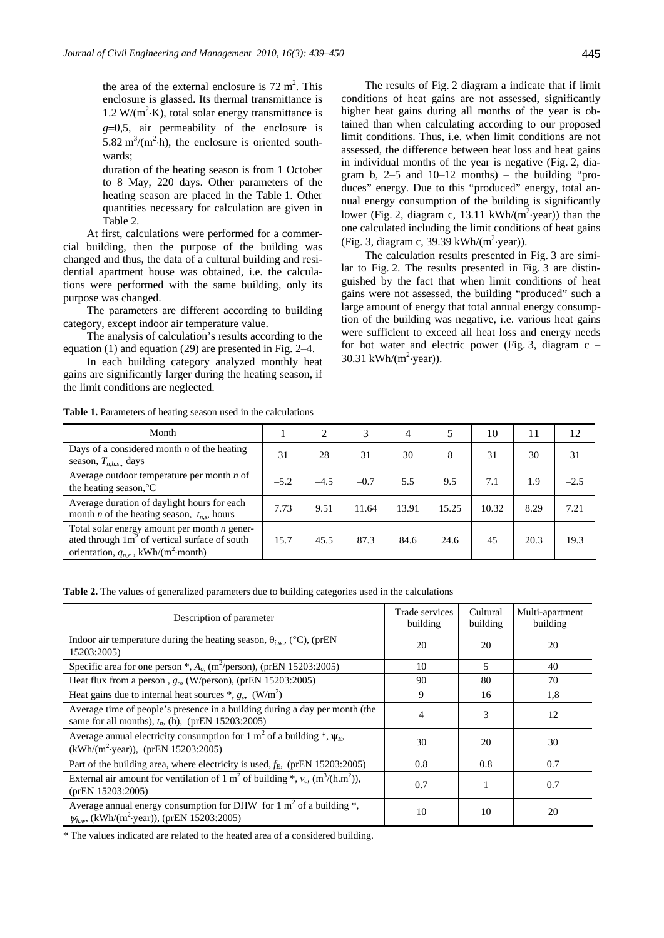- $-$  the area of the external enclosure is  $72 \text{ m}^2$ . This enclosure is glassed. Its thermal transmittance is  $1.2 \text{ W/(m}^2 \cdot \text{K)}$ , total solar energy transmittance is *g*=0,5, air permeability of the enclosure is  $5.82 \text{ m}^3/\text{(m}^2\cdot\text{h})$ , the enclosure is oriented southwards;
- − duration of the heating season is from 1 October to 8 May, 220 days. Other parameters of the heating season are placed in the Table 1. Other quantities necessary for calculation are given in Table 2.

At first, calculations were performed for a commercial building, then the purpose of the building was changed and thus, the data of a cultural building and residential apartment house was obtained, i.e. the calculations were performed with the same building, only its purpose was changed.

The parameters are different according to building category, except indoor air temperature value.

The analysis of calculation's results according to the equation (1) and equation (29) are presented in Fig. 2–4.

In each building category analyzed monthly heat gains are significantly larger during the heating season, if the limit conditions are neglected.

**Table 1.** Parameters of heating season used in the calculations

The results of Fig. 2 diagram a indicate that if limit conditions of heat gains are not assessed, significantly higher heat gains during all months of the year is obtained than when calculating according to our proposed limit conditions. Thus, i.e. when limit conditions are not assessed, the difference between heat loss and heat gains in individual months of the year is negative (Fig. 2, diagram b,  $2-5$  and  $10-12$  months) – the building "produces" energy. Due to this "produced" energy, total annual energy consumption of the building is significantly lower (Fig. 2, diagram c,  $13.11 \text{ kWh/(m}^2\text{-year})$ ) than the one calculated including the limit conditions of heat gains (Fig. 3, diagram c, 39.39 kWh/ $(m^2$ ·year)).

The calculation results presented in Fig. 3 are similar to Fig. 2. The results presented in Fig. 3 are distinguished by the fact that when limit conditions of heat gains were not assessed, the building "produced" such a large amount of energy that total annual energy consumption of the building was negative, i.e. various heat gains were sufficient to exceed all heat loss and energy needs for hot water and electric power (Fig. 3, diagram c –  $30.31$  kWh/ $(m^2$ -year)).

| Month                                                                                                                                                          |        |        |        | 4     |       | 10    | 11   | 12     |
|----------------------------------------------------------------------------------------------------------------------------------------------------------------|--------|--------|--------|-------|-------|-------|------|--------|
| Days of a considered month $n$ of the heating<br>season, $T_{n,h,s}$ days                                                                                      | 31     | 28     | 31     | 30    | 8     | 31    | 30   | 31     |
| Average outdoor temperature per month $n$ of<br>the heating season, $\mathrm{C}$                                                                               | $-5.2$ | $-4.5$ | $-0.7$ | 5.5   | 9.5   | 7.1   | 1.9  | $-2.5$ |
| Average duration of daylight hours for each<br>month <i>n</i> of the heating season, $t_{n,s}$ , hours                                                         | 7.73   | 9.51   | 11.64  | 13.91 | 15.25 | 10.32 | 8.29 | 7.21   |
| Total solar energy amount per month <i>n</i> gener-<br>ated through $1m2$ of vertical surface of south<br>orientation, $q_{n,e}$ , kWh/(m <sup>2</sup> ·month) | 15.7   | 45.5   | 87.3   | 84.6  | 24.6  | 45    | 20.3 | 19.3   |

**Table 2.** The values of generalized parameters due to building categories used in the calculations

| Description of parameter                                                                                                                             | Trade services<br>building | Cultural<br>building | Multi-apartment<br>building |
|------------------------------------------------------------------------------------------------------------------------------------------------------|----------------------------|----------------------|-----------------------------|
| Indoor air temperature during the heating season, $\theta_{i,w}$ , (°C), (prEN<br>15203:2005)                                                        | 20                         | 20                   | 20                          |
| Specific area for one person *, $A_0$ (m <sup>2</sup> /person), (prEN 15203:2005)                                                                    | 10                         | 5                    | 40                          |
| Heat flux from a person, $g_o$ , (W/person), (prEN 15203:2005)                                                                                       | 90                         | 80                   | 70                          |
| Heat gains due to internal heat sources *, $g_v$ , (W/m <sup>2</sup> )                                                                               | 9                          | 16                   | 1,8                         |
| Average time of people's presence in a building during a day per month (the<br>same for all months), $t_n$ , (h), (prEN 15203:2005)                  | $\overline{4}$             | 3                    | 12                          |
| Average annual electricity consumption for 1 m <sup>2</sup> of a building *, $\Psi$ <sub>E</sub> ,<br>$(kWh/(m^2 \text{ year}))$ , (prEN 15203:2005) | 30                         | 20                   | 30                          |
| Part of the building area, where electricity is used, $f_E$ , (prEN 15203:2005)                                                                      | 0.8                        | 0.8                  | 0.7                         |
| External air amount for ventilation of 1 m <sup>2</sup> of building *, $v_c$ , (m <sup>3</sup> /(h.m <sup>2</sup> )),<br>(prEN 15203:2005)           | 0.7                        |                      | 0.7                         |
| Average annual energy consumption for DHW for $1 \text{ m}^2$ of a building $^*$ ,<br>$\psi_{h,w}$ , (kWh/(m <sup>2</sup> ·year)), (prEN 15203:2005) | 10                         | 10                   | 20                          |

\* The values indicated are related to the heated area of a considered building.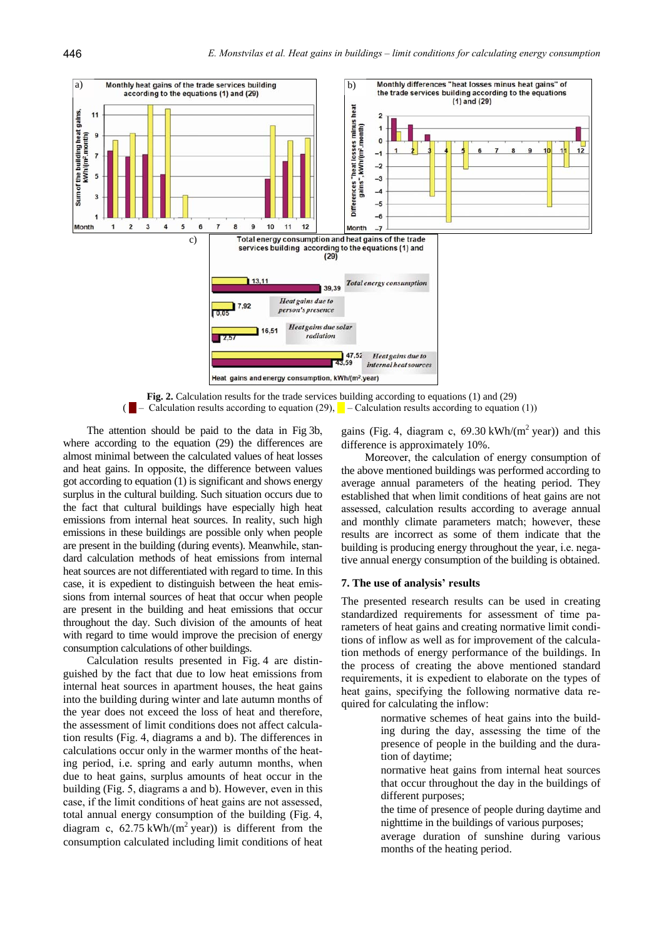



The attention should be paid to the data in Fig 3b, where according to the equation (29) the differences are almost minimal between the calculated values of heat losses and heat gains. In opposite, the difference between values got according to equation (1) is significant and shows energy surplus in the cultural building. Such situation occurs due to the fact that cultural buildings have especially high heat emissions from internal heat sources. In reality, such high emissions in these buildings are possible only when people are present in the building (during events). Meanwhile, standard calculation methods of heat emissions from internal heat sources are not differentiated with regard to time. In this case, it is expedient to distinguish between the heat emissions from internal sources of heat that occur when people are present in the building and heat emissions that occur throughout the day. Such division of the amounts of heat with regard to time would improve the precision of energy consumption calculations of other buildings.

Calculation results presented in Fig. 4 are distinguished by the fact that due to low heat emissions from internal heat sources in apartment houses, the heat gains into the building during winter and late autumn months of the year does not exceed the loss of heat and therefore, the assessment of limit conditions does not affect calculation results (Fig. 4, diagrams a and b). The differences in calculations occur only in the warmer months of the heating period, i.e. spring and early autumn months, when due to heat gains, surplus amounts of heat occur in the building (Fig. 5, diagrams a and b). However, even in this case, if the limit conditions of heat gains are not assessed, total annual energy consumption of the building (Fig. 4, diagram c,  $62.75 \text{ kWh/(m}^2 \text{ year})$  is different from the consumption calculated including limit conditions of heat gains (Fig. 4, diagram c,  $69.30 \text{ kWh/(m}^2 \text{ year})$ ) and this difference is approximately 10%.

Moreover, the calculation of energy consumption of the above mentioned buildings was performed according to average annual parameters of the heating period. They established that when limit conditions of heat gains are not assessed, calculation results according to average annual and monthly climate parameters match; however, these results are incorrect as some of them indicate that the building is producing energy throughout the year, i.e. negative annual energy consumption of the building is obtained.

### **7. The use of analysis' results**

The presented research results can be used in creating standardized requirements for assessment of time parameters of heat gains and creating normative limit conditions of inflow as well as for improvement of the calculation methods of energy performance of the buildings. In the process of creating the above mentioned standard requirements, it is expedient to elaborate on the types of heat gains, specifying the following normative data required for calculating the inflow:

- normative schemes of heat gains into the building during the day, assessing the time of the presence of people in the building and the duration of daytime;
- normative heat gains from internal heat sources that occur throughout the day in the buildings of different purposes;
- the time of presence of people during daytime and nighttime in the buildings of various purposes;
- average duration of sunshine during various months of the heating period.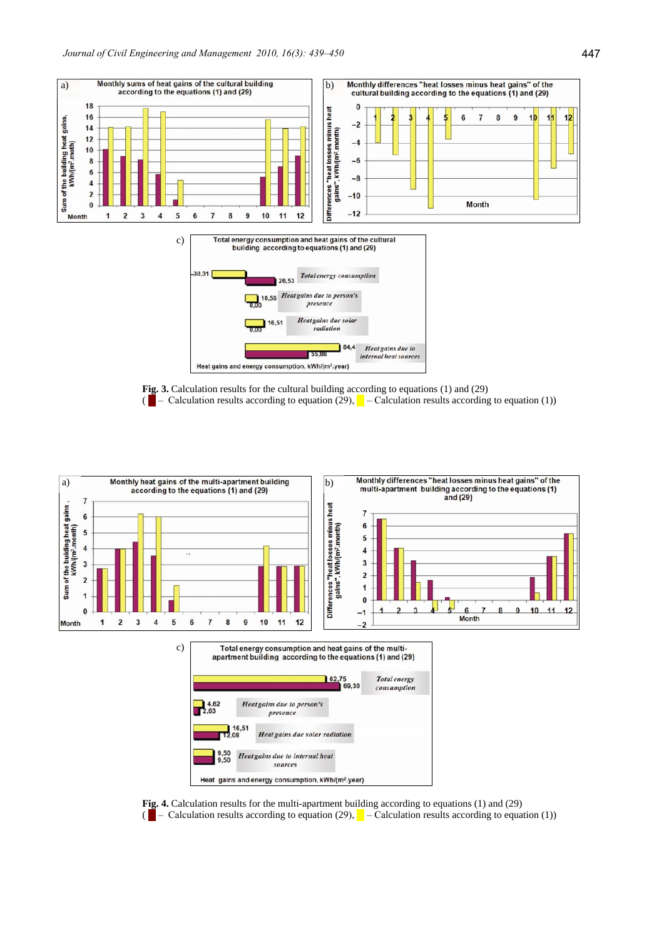



**Fig. 3.** Calculation results for the cultural building according to equations (1) and (29)

( – Calculation results according to equation (29),  $-$  Calculation results according to equation (1))



Heat gains and energy consumption, kWh/(m<sup>2</sup>.year)

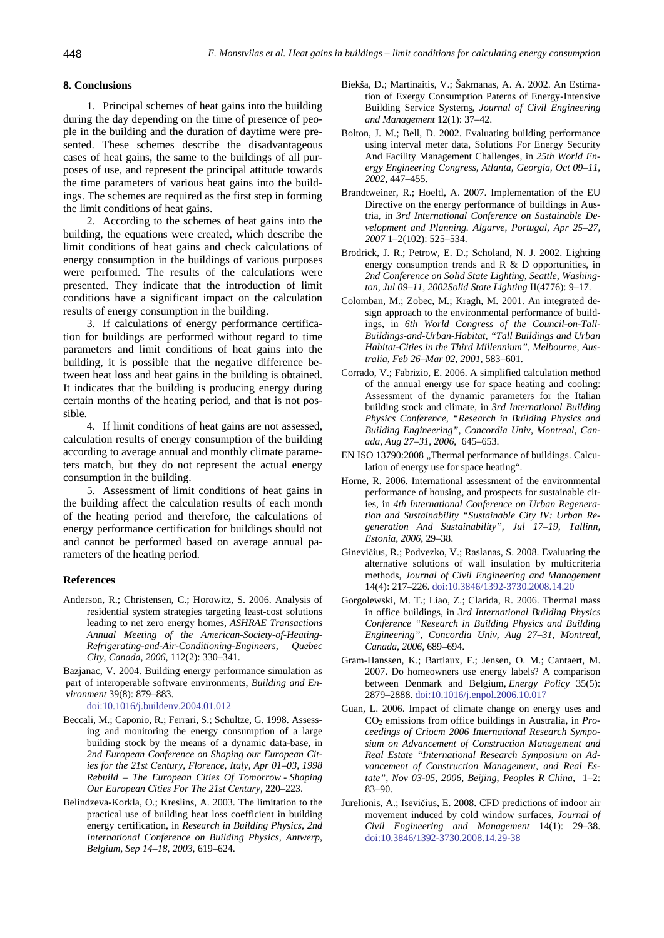## **8. Conclusions**

1. Principal schemes of heat gains into the building during the day depending on the time of presence of people in the building and the duration of daytime were presented. These schemes describe the disadvantageous cases of heat gains, the same to the buildings of all purposes of use, and represent the principal attitude towards the time parameters of various heat gains into the buildings. The schemes are required as the first step in forming the limit conditions of heat gains.

2. According to the schemes of heat gains into the building, the equations were created, which describe the limit conditions of heat gains and check calculations of energy consumption in the buildings of various purposes were performed. The results of the calculations were presented. They indicate that the introduction of limit conditions have a significant impact on the calculation results of energy consumption in the building.

3. If calculations of energy performance certification for buildings are performed without regard to time parameters and limit conditions of heat gains into the building, it is possible that the negative difference between heat loss and heat gains in the building is obtained. It indicates that the building is producing energy during certain months of the heating period, and that is not possible.

4. If limit conditions of heat gains are not assessed, calculation results of energy consumption of the building according to average annual and monthly climate parameters match, but they do not represent the actual energy consumption in the building.

5. Assessment of limit conditions of heat gains in the building affect the calculation results of each month of the heating period and therefore, the calculations of energy performance certification for buildings should not and cannot be performed based on average annual parameters of the heating period.

#### **References**

[Anderson, R](http://apps.isiknowledge.com/ISIP/CIW.cgi?SID=U1bNfmGFaF2iH6Pf5al&Func=OneClickSearch&field=AU&val=Anderson+R&curr_doc=1/57&Form=FullRecordPage&doc=1/57).; [Christensen, C](http://apps.isiknowledge.com/ISIP/CIW.cgi?SID=U1bNfmGFaF2iH6Pf5al&Func=OneClickSearch&field=AU&val=Christensen+C&curr_doc=1/57&Form=FullRecordPage&doc=1/57).; [Horowitz, S.](http://apps.isiknowledge.com/ISIP/CIW.cgi?SID=U1bNfmGFaF2iH6Pf5al&Func=OneClickSearch&field=AU&val=Horowitz+S&curr_doc=1/57&Form=FullRecordPage&doc=1/57) 2006. Analysis of residential system strategies targeting least-cost solutions leading to net zero energy homes, *ASHRAE Transactions Annual Meeting of the American-Society-of-Heating-Refrigerating-and-Air-Conditioning-Engineers, Quebec City, Canada, 2006*, 112(2): 330–341.

[Bazjanac, V.](http://apps.isiknowledge.com/ISIP/CIW.cgi?SID=U1bNfmGFaF2iH6Pf5al&Func=OneClickSearch&field=AU&val=Bazjanac+V&curr_doc=1/153&Form=FullRecordPage&doc=1/153) 2004. Building energy performance simulation as part of interoperable software environments, *Building and Enment* 39(8): 879–883. *viron*

[doi:10.1016/j.buildenv.2004.01.012](http://dx.doi.org/10.1016/j.buildenv.2004.01.012)

- [Beccali, M](http://apps.isiknowledge.com/ISIP/CIW.cgi?SID=U1bNfmGFaF2iH6Pf5al&Func=OneClickSearch&field=AU&val=Beccali+M&curr_doc=1/355&Form=FullRecordPage&doc=1/355).; [Caponio, R](http://apps.isiknowledge.com/ISIP/CIW.cgi?SID=U1bNfmGFaF2iH6Pf5al&Func=OneClickSearch&field=AU&val=Caponio+R&curr_doc=1/355&Form=FullRecordPage&doc=1/355).; [Ferrari, S](http://apps.isiknowledge.com/ISIP/CIW.cgi?SID=U1bNfmGFaF2iH6Pf5al&Func=OneClickSearch&field=AU&val=Ferrari+S&curr_doc=1/355&Form=FullRecordPage&doc=1/355).; [Schultze, G.](http://apps.isiknowledge.com/ISIP/CIW.cgi?SID=U1bNfmGFaF2iH6Pf5al&Func=OneClickSearch&field=AU&val=Schultze+G&curr_doc=1/355&Form=FullRecordPage&doc=1/355) 1998. Assessing and monitoring the energy consumption of a large building stock by the means of a dynamic data-base, in *2nd European Conference on Shaping our European Cities for the 21st Century, Florence, Italy, Apr 01–03, 1998 Rebuild – The European Cities Of Tomorrow - Shaping Our European Cities For The 21st Century*, 220–223.
- [Belindzeva-Korkla, O.; Kreslins, A. 2003. The limitation to the](http://apps.isiknowledge.com/ISIP/CIW.cgi?SID=U1bNfmGFaF2iH6Pf5al&Func=OneClickSearch&field=AU&val=Belindzeva-Korkla+O&curr_doc=1/174&Form=FullRecordPage&doc=1/174)  [practical use of building heat loss coefficient in building](http://apps.isiknowledge.com/ISIP/CIW.cgi?SID=U1bNfmGFaF2iH6Pf5al&Func=OneClickSearch&field=AU&val=Belindzeva-Korkla+O&curr_doc=1/174&Form=FullRecordPage&doc=1/174)  energy certification, in *[Research in Building Physics, 2nd](http://apps.isiknowledge.com/ISIP/CIW.cgi?SID=U1bNfmGFaF2iH6Pf5al&Func=OneClickSearch&field=AU&val=Belindzeva-Korkla+O&curr_doc=1/174&Form=FullRecordPage&doc=1/174)  [International Conference on Building Physics, Antwerp,](http://apps.isiknowledge.com/ISIP/CIW.cgi?SID=U1bNfmGFaF2iH6Pf5al&Func=OneClickSearch&field=AU&val=Belindzeva-Korkla+O&curr_doc=1/174&Form=FullRecordPage&doc=1/174)  [Belgium, Sep 14–18, 2003](http://apps.isiknowledge.com/ISIP/CIW.cgi?SID=U1bNfmGFaF2iH6Pf5al&Func=OneClickSearch&field=AU&val=Belindzeva-Korkla+O&curr_doc=1/174&Form=FullRecordPage&doc=1/174)*, 619–624.
- Biekša, D.; Martinaitis, V.; Šakmanas, A. A. 2002. [An Estima](http://www.jcem.vgtu.lt/en/lt/3/NR/PUB/2264)[tion of Exergy Consumption Paterns of Energy-Intensive](http://www.jcem.vgtu.lt/en/lt/3/NR/PUB/2264)  [Building Service Systems,](http://www.jcem.vgtu.lt/en/lt/3/NR/PUB/2264) *Journal of Civil Engineering and Management* 12(1): 37–42.
- [Bolton, J. M.; Bell, D. 2002. Evaluating building performance](http://apps.isiknowledge.com/ISIP/CIW.cgi?SID=U1bNfmGFaF2iH6Pf5al&Func=OneClickSearch&field=AU&val=Bolton+JM&curr_doc=1/199&Form=FullRecordPage&doc=1/199)  [using interval meter data, Solutions For Energy Security](http://apps.isiknowledge.com/ISIP/CIW.cgi?SID=U1bNfmGFaF2iH6Pf5al&Func=OneClickSearch&field=AU&val=Bolton+JM&curr_doc=1/199&Form=FullRecordPage&doc=1/199)  [And Facility Management Challenges, in](http://apps.isiknowledge.com/ISIP/CIW.cgi?SID=U1bNfmGFaF2iH6Pf5al&Func=OneClickSearch&field=AU&val=Bolton+JM&curr_doc=1/199&Form=FullRecordPage&doc=1/199) *25th World En[ergy Engineering Congress, Atlanta, Georgia, Oct 09–11,](http://apps.isiknowledge.com/ISIP/CIW.cgi?SID=U1bNfmGFaF2iH6Pf5al&Func=OneClickSearch&field=AU&val=Bolton+JM&curr_doc=1/199&Form=FullRecordPage&doc=1/199)  2002*[, 447–455.](http://apps.isiknowledge.com/ISIP/CIW.cgi?SID=U1bNfmGFaF2iH6Pf5al&Func=OneClickSearch&field=AU&val=Bolton+JM&curr_doc=1/199&Form=FullRecordPage&doc=1/199)
- [Brandtweiner, R.; Hoeltl, A](http://apps.isiknowledge.com/ISIP/CIW.cgi?SID=U1bNfmGFaF2iH6Pf5al&Func=OneClickSearch&field=AU&val=Brandtweiner,+R&curr_doc=1/8&Form=FullRecordPage&doc=1/8). 2007. Implementation of the EU Directive on the energy performance of buildings in Austria, in *3rd International Conference on Sustainable Development and Planning. Algarve, Portugal, Apr 25–27, 2007* 1–2(102): 525–534.
- [Brodrick, J. R.](http://apps.isiknowledge.com/ISIP/CIW.cgi?SID=U1bNfmGFaF2iH6Pf5al&Func=OneClickSearch&field=AU&val=Brodrick+JR&curr_doc=1/205&Form=FullRecordPage&doc=1/205); [Petrow, E. D.](http://apps.isiknowledge.com/ISIP/CIW.cgi?SID=U1bNfmGFaF2iH6Pf5al&Func=OneClickSearch&field=AU&val=Petrow+ED&curr_doc=1/205&Form=FullRecordPage&doc=1/205); [Scholand, N. J](http://apps.isiknowledge.com/ISIP/CIW.cgi?SID=U1bNfmGFaF2iH6Pf5al&Func=OneClickSearch&field=AU&val=Scholand+NJ&curr_doc=1/205&Form=FullRecordPage&doc=1/205). 2002. Lighting energy consumption trends and R & D opportunities, in *2nd Conference on Solid State Lighting, Seattle, Washington, Jul 09–11, 2002Solid State Lighting* II(4776): 9–17.
- [Colomban, M.; Zobec, M.; Kragh, M. 2001. An integrated de](http://apps.isiknowledge.com/ISIP/CIW.cgi?SID=U1bNfmGFaF2iH6Pf5al&Func=OneClickSearch&field=AU&val=Colomban+M&curr_doc=1/190&Form=FullRecordPage&doc=1/190)[sign approach to the environmental performance of build](http://apps.isiknowledge.com/ISIP/CIW.cgi?SID=U1bNfmGFaF2iH6Pf5al&Func=OneClickSearch&field=AU&val=Colomban+M&curr_doc=1/190&Form=FullRecordPage&doc=1/190)ings, in *[6th World Congress of the Council-on-Tall-](http://apps.isiknowledge.com/ISIP/CIW.cgi?SID=U1bNfmGFaF2iH6Pf5al&Func=OneClickSearch&field=AU&val=Colomban+M&curr_doc=1/190&Form=FullRecordPage&doc=1/190)[Buildings-and-Urban-Habitat, "Tall Buildings and Urban](http://apps.isiknowledge.com/ISIP/CIW.cgi?SID=U1bNfmGFaF2iH6Pf5al&Func=OneClickSearch&field=AU&val=Colomban+M&curr_doc=1/190&Form=FullRecordPage&doc=1/190)  [Habitat-Cities in the Third Millennium",](http://apps.isiknowledge.com/ISIP/CIW.cgi?SID=U1bNfmGFaF2iH6Pf5al&Func=OneClickSearch&field=AU&val=Colomban+M&curr_doc=1/190&Form=FullRecordPage&doc=1/190) Melbourne, Aus[tralia, Feb 26–Mar 02, 2001,](http://apps.isiknowledge.com/ISIP/CIW.cgi?SID=U1bNfmGFaF2iH6Pf5al&Func=OneClickSearch&field=AU&val=Colomban+M&curr_doc=1/190&Form=FullRecordPage&doc=1/190)* 583–601.
- [Corrado, V.; Fabrizio, E. 2006. A simplified calculation method](http://apps.isiknowledge.com/ISIP/CIW.cgi?SID=U1bNfmGFaF2iH6Pf5al&Func=OneClickSearch&field=AU&val=Corrado+V&curr_doc=1/46&Form=FullRecordPage&doc=1/46)  [of the annual energy use for space heating and cooling:](http://apps.isiknowledge.com/ISIP/CIW.cgi?SID=U1bNfmGFaF2iH6Pf5al&Func=OneClickSearch&field=AU&val=Corrado+V&curr_doc=1/46&Form=FullRecordPage&doc=1/46)  [Assessment of the dynamic parameters for the Italian](http://apps.isiknowledge.com/ISIP/CIW.cgi?SID=U1bNfmGFaF2iH6Pf5al&Func=OneClickSearch&field=AU&val=Corrado+V&curr_doc=1/46&Form=FullRecordPage&doc=1/46)  [building stock and climate, in](http://apps.isiknowledge.com/ISIP/CIW.cgi?SID=U1bNfmGFaF2iH6Pf5al&Func=OneClickSearch&field=AU&val=Corrado+V&curr_doc=1/46&Form=FullRecordPage&doc=1/46) *3rd International Building [Physics Conference, "Research in Building Physics and](http://apps.isiknowledge.com/ISIP/CIW.cgi?SID=U1bNfmGFaF2iH6Pf5al&Func=OneClickSearch&field=AU&val=Corrado+V&curr_doc=1/46&Form=FullRecordPage&doc=1/46)  [Building Engineering", Concordia Univ, Montreal, Can](http://apps.isiknowledge.com/ISIP/CIW.cgi?SID=U1bNfmGFaF2iH6Pf5al&Func=OneClickSearch&field=AU&val=Corrado+V&curr_doc=1/46&Form=FullRecordPage&doc=1/46)[ada, Aug 27–31, 2006](http://apps.isiknowledge.com/ISIP/CIW.cgi?SID=U1bNfmGFaF2iH6Pf5al&Func=OneClickSearch&field=AU&val=Corrado+V&curr_doc=1/46&Form=FullRecordPage&doc=1/46)*, 645–653.
- EN ISO 13790:2008 "Thermal performance of buildings. Calculation of energy use for space heating".
- [Horne, R. 2006. International assessment of the environmental](http://apps.isiknowledge.com/ISIP/CIW.cgi?SID=U1bNfmGFaF2iH6Pf5al&Func=OneClickSearch&field=AU&val=Horne+R&curr_doc=1/63&Form=FullRecordPage&doc=1/63)  [performance of housing, and prospects for sustainable cit](http://apps.isiknowledge.com/ISIP/CIW.cgi?SID=U1bNfmGFaF2iH6Pf5al&Func=OneClickSearch&field=AU&val=Horne+R&curr_doc=1/63&Form=FullRecordPage&doc=1/63)ies, in *[4th International Conference on Urban Regenera](http://apps.isiknowledge.com/ISIP/CIW.cgi?SID=U1bNfmGFaF2iH6Pf5al&Func=OneClickSearch&field=AU&val=Horne+R&curr_doc=1/63&Form=FullRecordPage&doc=1/63)[tion and Sustainability "Sustainable City IV: Urban Re](http://apps.isiknowledge.com/ISIP/CIW.cgi?SID=U1bNfmGFaF2iH6Pf5al&Func=OneClickSearch&field=AU&val=Horne+R&curr_doc=1/63&Form=FullRecordPage&doc=1/63)[generation And Sustainability", Jul 17–19, Tallinn,](http://apps.isiknowledge.com/ISIP/CIW.cgi?SID=U1bNfmGFaF2iH6Pf5al&Func=OneClickSearch&field=AU&val=Horne+R&curr_doc=1/63&Form=FullRecordPage&doc=1/63)  [Estonia, 2006](http://apps.isiknowledge.com/ISIP/CIW.cgi?SID=U1bNfmGFaF2iH6Pf5al&Func=OneClickSearch&field=AU&val=Horne+R&curr_doc=1/63&Form=FullRecordPage&doc=1/63)*, 29–38.
- Ginevičius, R.; Podvezko, V.; Raslanas, S. 2008. Evaluating the alternative solutions of wall insulation by multicriteria methods, *Journal of Civil Engineering and Management*  14(4): 217–226. [doi:10.3846/1392-3730.2008.14.20](http://dx.doi.org/10.3846/1392-3730.2008.14.20)
- [Gorgolewski, M. T.; Liao, Z.; Clarida, R. 2006. Thermal mass](http://apps.isiknowledge.com/ISIP/CIW.cgi?SID=U1bNfmGFaF2iH6Pf5al&Func=OneClickSearch&field=AU&val=Gorgolewski+MT&curr_doc=1/48&Form=FullRecordPage&doc=1/48)  in office buildings, in *[3rd International Building Physics](http://apps.isiknowledge.com/ISIP/CIW.cgi?SID=U1bNfmGFaF2iH6Pf5al&Func=OneClickSearch&field=AU&val=Gorgolewski+MT&curr_doc=1/48&Form=FullRecordPage&doc=1/48)  [Conference "Research in Building Physics and Building](http://apps.isiknowledge.com/ISIP/CIW.cgi?SID=U1bNfmGFaF2iH6Pf5al&Func=OneClickSearch&field=AU&val=Gorgolewski+MT&curr_doc=1/48&Form=FullRecordPage&doc=1/48)  [Engineering", Concordia Univ, Aug 27–31, Montreal,](http://apps.isiknowledge.com/ISIP/CIW.cgi?SID=U1bNfmGFaF2iH6Pf5al&Func=OneClickSearch&field=AU&val=Gorgolewski+MT&curr_doc=1/48&Form=FullRecordPage&doc=1/48)  [Canada, 2006,](http://apps.isiknowledge.com/ISIP/CIW.cgi?SID=U1bNfmGFaF2iH6Pf5al&Func=OneClickSearch&field=AU&val=Gorgolewski+MT&curr_doc=1/48&Form=FullRecordPage&doc=1/48)* 689–694.
- [Gram-Hanssen, K.](http://apps.isiknowledge.com/ISIP/CIW.cgi?SID=U1bNfmGFaF2iH6Pf5al&Func=OneClickSearch&field=AU&val=Gram-Hanssen,+K&curr_doc=1/22&Form=FullRecordPage&doc=1/22); [Bartiaux, F.](http://apps.isiknowledge.com/ISIP/CIW.cgi?SID=U1bNfmGFaF2iH6Pf5al&Func=OneClickSearch&field=AU&val=Bartiaux,+F&curr_doc=1/22&Form=FullRecordPage&doc=1/22); [Jensen, O. M](http://apps.isiknowledge.com/ISIP/CIW.cgi?SID=U1bNfmGFaF2iH6Pf5al&Func=OneClickSearch&field=AU&val=Jensen,+OM&curr_doc=1/22&Form=FullRecordPage&doc=1/22).; [Cantaert, M](http://apps.isiknowledge.com/ISIP/CIW.cgi?SID=U1bNfmGFaF2iH6Pf5al&Func=OneClickSearch&field=AU&val=Cantaert,+M&curr_doc=1/22&Form=FullRecordPage&doc=1/22). 2007. Do homeowners use energy labels? A comparison between Denmark and Belgium, *Energy Policy* 35(5): 2879–2888. [doi:10.1016/j.enpol.2006.10.017](http://dx.doi.org/10.1016/j.enpol.2006.10.017)
- [Guan, L. 2006. Impact of climate change on energy uses and](http://apps.isiknowledge.com/ISIP/CIW.cgi?SID=U1bNfmGFaF2iH6Pf5al&Func=OneClickSearch&field=AU&val=Guan+L&curr_doc=1/49&Form=FullRecordPage&doc=1/49)  [CO2 emissions from office buildings in Australia, in](http://apps.isiknowledge.com/ISIP/CIW.cgi?SID=U1bNfmGFaF2iH6Pf5al&Func=OneClickSearch&field=AU&val=Guan+L&curr_doc=1/49&Form=FullRecordPage&doc=1/49) *Pro[ceedings of Criocm 2006 International Research Sympo](http://apps.isiknowledge.com/ISIP/CIW.cgi?SID=U1bNfmGFaF2iH6Pf5al&Func=OneClickSearch&field=AU&val=Guan+L&curr_doc=1/49&Form=FullRecordPage&doc=1/49)[sium on Advancement of Construction Management and](http://apps.isiknowledge.com/ISIP/CIW.cgi?SID=U1bNfmGFaF2iH6Pf5al&Func=OneClickSearch&field=AU&val=Guan+L&curr_doc=1/49&Form=FullRecordPage&doc=1/49)  [Real Estate "International Research Symposium on Ad](http://apps.isiknowledge.com/ISIP/CIW.cgi?SID=U1bNfmGFaF2iH6Pf5al&Func=OneClickSearch&field=AU&val=Guan+L&curr_doc=1/49&Form=FullRecordPage&doc=1/49)[vancement of Construction Management, and Real Es](http://apps.isiknowledge.com/ISIP/CIW.cgi?SID=U1bNfmGFaF2iH6Pf5al&Func=OneClickSearch&field=AU&val=Guan+L&curr_doc=1/49&Form=FullRecordPage&doc=1/49)[tate", Nov 03-05, 2006, Beijing, Peoples R China,](http://apps.isiknowledge.com/ISIP/CIW.cgi?SID=U1bNfmGFaF2iH6Pf5al&Func=OneClickSearch&field=AU&val=Guan+L&curr_doc=1/49&Form=FullRecordPage&doc=1/49)* 1–2: [83–90.](http://apps.isiknowledge.com/ISIP/CIW.cgi?SID=U1bNfmGFaF2iH6Pf5al&Func=OneClickSearch&field=AU&val=Guan+L&curr_doc=1/49&Form=FullRecordPage&doc=1/49)
- Jurelionis, A.; Isevičius, E. 2008. CFD predictions of indoor air movement induced by cold window surfaces, *Journal of Civil Engineering and Management* 14(1): 29–38. [doi:10.3846/1392-3730.2008.14.29-38](http://dx.doi.org/10.3846/1392-3730.2008.14.29-38)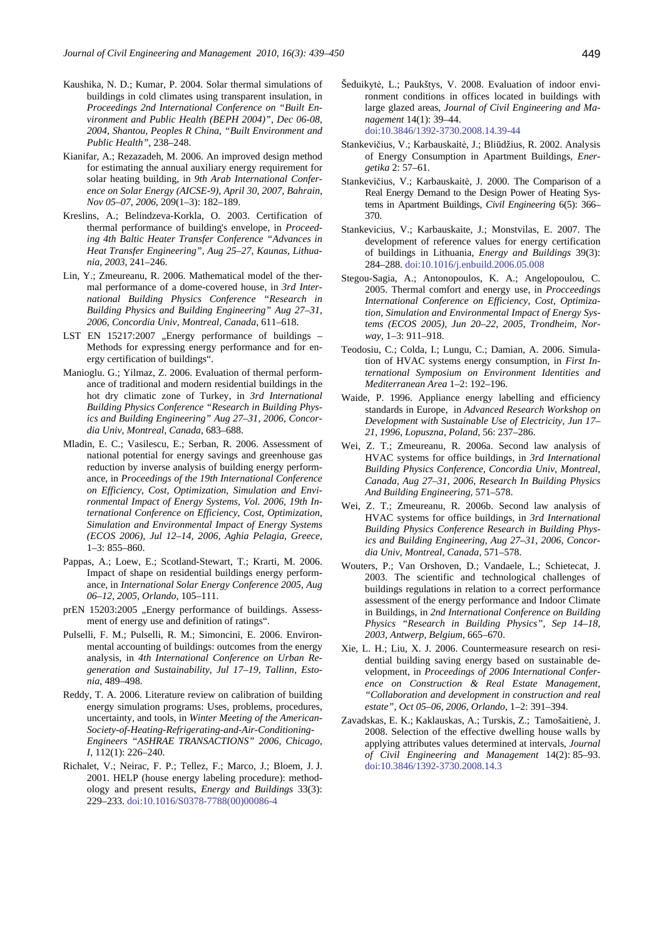- [Kaushika, N. D.](http://apps.isiknowledge.com/ISIP/CIW.cgi?SID=U1bNfmGFaF2iH6Pf5al&Func=OneClickSearch&field=AU&val=Kaushika+ND&curr_doc=1/139&Form=FullRecordPage&doc=1/139); [Kumar, P.](http://apps.isiknowledge.com/ISIP/CIW.cgi?SID=U1bNfmGFaF2iH6Pf5al&Func=OneClickSearch&field=AU&val=Kumar+P&curr_doc=1/139&Form=FullRecordPage&doc=1/139) 2004. Solar thermal simulations of buildings in cold climates using transparent insulation, in *Proceedings 2nd International Conference on "Built Environment and Public Health (BEPH 2004)", Dec 06-08, 2004, Shantou, Peoples R China, "Built Environment and Public Health"*, 238–248.
- [Kianifar, A.; Rezazadeh, M. 2006. An improved design method](http://apps.isiknowledge.com/ISIP/CIW.cgi?SID=U1bNfmGFaF2iH6Pf5al&Func=OneClickSearch&field=AU&val=Kianifar,+A&curr_doc=1/14&Form=FullRecordPage&doc=1/14)  [for estimating the annual auxiliary energy requirement for](http://apps.isiknowledge.com/ISIP/CIW.cgi?SID=U1bNfmGFaF2iH6Pf5al&Func=OneClickSearch&field=AU&val=Kianifar,+A&curr_doc=1/14&Form=FullRecordPage&doc=1/14)  solar heating building, in *[9th Arab International Confer](http://apps.isiknowledge.com/ISIP/CIW.cgi?SID=U1bNfmGFaF2iH6Pf5al&Func=OneClickSearch&field=AU&val=Kianifar,+A&curr_doc=1/14&Form=FullRecordPage&doc=1/14)[ence on Solar Energy \(AICSE-9\), April 30, 2007, Bahrain,](http://apps.isiknowledge.com/ISIP/CIW.cgi?SID=U1bNfmGFaF2iH6Pf5al&Func=OneClickSearch&field=AU&val=Kianifar,+A&curr_doc=1/14&Form=FullRecordPage&doc=1/14)  Nov 05–07, 2006*[, 209\(1–3\): 182–189.](http://apps.isiknowledge.com/ISIP/CIW.cgi?SID=U1bNfmGFaF2iH6Pf5al&Func=OneClickSearch&field=AU&val=Kianifar,+A&curr_doc=1/14&Form=FullRecordPage&doc=1/14)
- [Kreslins, A.](http://apps.isiknowledge.com/ISIP/CIW.cgi?SID=U1bNfmGFaF2iH6Pf5al&Func=OneClickSearch&field=AU&val=Kreslins+A&curr_doc=1/88&Form=FullRecordPage&doc=1/88); [Belindzeva-Korkla, O.](http://apps.isiknowledge.com/ISIP/CIW.cgi?SID=U1bNfmGFaF2iH6Pf5al&Func=OneClickSearch&field=AU&val=Belindzeva-Korkla+O&curr_doc=1/88&Form=FullRecordPage&doc=1/88) 2003. Certification of thermal performance of building's envelope, in *Proceeding 4th Baltic Heater Transfer Conference "Advances in Heat Transfer Engineering", Aug 25–27, Kaunas, Lithuania, 2003*, 241–246.
- [Lin, Y.; Zmeureanu, R. 2006. Mathematical model of the ther](http://apps.isiknowledge.com/ISIP/CIW.cgi?SID=U1bNfmGFaF2iH6Pf5al&Func=OneClickSearch&field=AU&val=Lin+Y&curr_doc=1/45&Form=FullRecordPage&doc=1/45)[mal performance of a dome-covered house, in](http://apps.isiknowledge.com/ISIP/CIW.cgi?SID=U1bNfmGFaF2iH6Pf5al&Func=OneClickSearch&field=AU&val=Lin+Y&curr_doc=1/45&Form=FullRecordPage&doc=1/45) *3rd Inter[national Building Physics Conference "Research in](http://apps.isiknowledge.com/ISIP/CIW.cgi?SID=U1bNfmGFaF2iH6Pf5al&Func=OneClickSearch&field=AU&val=Lin+Y&curr_doc=1/45&Form=FullRecordPage&doc=1/45)  [Building Physics and Building Engineering" Aug 27–31,](http://apps.isiknowledge.com/ISIP/CIW.cgi?SID=U1bNfmGFaF2iH6Pf5al&Func=OneClickSearch&field=AU&val=Lin+Y&curr_doc=1/45&Form=FullRecordPage&doc=1/45)  [2006, Concordia Univ, Montreal, Canada](http://apps.isiknowledge.com/ISIP/CIW.cgi?SID=U1bNfmGFaF2iH6Pf5al&Func=OneClickSearch&field=AU&val=Lin+Y&curr_doc=1/45&Form=FullRecordPage&doc=1/45)*, 611–618.
- LST EN 15217:2007 "Energy performance of buildings -Methods for expressing energy performance and for energy certification of buildings".
- [Manioglu. G.; Yilmaz, Z. 2006. Evaluation of thermal perform](http://apps.isiknowledge.com/ISIP/CIW.cgi?SID=U1bNfmGFaF2iH6Pf5al&Func=OneClickSearch&field=AU&val=Manioglu+G&curr_doc=1/47&Form=FullRecordPage&doc=1/47)[ance of traditional and modern residential buildings in the](http://apps.isiknowledge.com/ISIP/CIW.cgi?SID=U1bNfmGFaF2iH6Pf5al&Func=OneClickSearch&field=AU&val=Manioglu+G&curr_doc=1/47&Form=FullRecordPage&doc=1/47)  [hot dry climatic zone of Turkey, in](http://apps.isiknowledge.com/ISIP/CIW.cgi?SID=U1bNfmGFaF2iH6Pf5al&Func=OneClickSearch&field=AU&val=Manioglu+G&curr_doc=1/47&Form=FullRecordPage&doc=1/47) *3rd International [Building Physics Conference "Research in Building Phys](http://apps.isiknowledge.com/ISIP/CIW.cgi?SID=U1bNfmGFaF2iH6Pf5al&Func=OneClickSearch&field=AU&val=Manioglu+G&curr_doc=1/47&Form=FullRecordPage&doc=1/47)[ics and Building Engineering" Aug 27–31, 2006, Concor](http://apps.isiknowledge.com/ISIP/CIW.cgi?SID=U1bNfmGFaF2iH6Pf5al&Func=OneClickSearch&field=AU&val=Manioglu+G&curr_doc=1/47&Form=FullRecordPage&doc=1/47)[dia Univ, Montreal, Canada](http://apps.isiknowledge.com/ISIP/CIW.cgi?SID=U1bNfmGFaF2iH6Pf5al&Func=OneClickSearch&field=AU&val=Manioglu+G&curr_doc=1/47&Form=FullRecordPage&doc=1/47)*, 683–688.
- [Mladin, E. C.; Vasilescu, E.; Serban, R. 2006. Assessment of](http://apps.isiknowledge.com/ISIP/CIW.cgi?SID=U1bNfmGFaF2iH6Pf5al&Func=OneClickSearch&field=AU&val=Mladin,+EC&curr_doc=1/30&Form=FullRecordPage&doc=1/30)  [national potential for energy savings and greenhouse gas](http://apps.isiknowledge.com/ISIP/CIW.cgi?SID=U1bNfmGFaF2iH6Pf5al&Func=OneClickSearch&field=AU&val=Mladin,+EC&curr_doc=1/30&Form=FullRecordPage&doc=1/30)  [reduction by inverse analysis of building energy perform](http://apps.isiknowledge.com/ISIP/CIW.cgi?SID=U1bNfmGFaF2iH6Pf5al&Func=OneClickSearch&field=AU&val=Mladin,+EC&curr_doc=1/30&Form=FullRecordPage&doc=1/30)ance, in *[Proceedings of the 19th International Conference](http://apps.isiknowledge.com/ISIP/CIW.cgi?SID=U1bNfmGFaF2iH6Pf5al&Func=OneClickSearch&field=AU&val=Mladin,+EC&curr_doc=1/30&Form=FullRecordPage&doc=1/30)  [on Efficiency, Cost, Optimization, Simulation and Envi](http://apps.isiknowledge.com/ISIP/CIW.cgi?SID=U1bNfmGFaF2iH6Pf5al&Func=OneClickSearch&field=AU&val=Mladin,+EC&curr_doc=1/30&Form=FullRecordPage&doc=1/30)[ronmental Impact of Energy Systems, Vol. 2006, 19th In](http://apps.isiknowledge.com/ISIP/CIW.cgi?SID=U1bNfmGFaF2iH6Pf5al&Func=OneClickSearch&field=AU&val=Mladin,+EC&curr_doc=1/30&Form=FullRecordPage&doc=1/30)[ternational Conference on Efficiency, Cost, Optimization,](http://apps.isiknowledge.com/ISIP/CIW.cgi?SID=U1bNfmGFaF2iH6Pf5al&Func=OneClickSearch&field=AU&val=Mladin,+EC&curr_doc=1/30&Form=FullRecordPage&doc=1/30)  [Simulation and Environmental Impact of Energy Systems](http://apps.isiknowledge.com/ISIP/CIW.cgi?SID=U1bNfmGFaF2iH6Pf5al&Func=OneClickSearch&field=AU&val=Mladin,+EC&curr_doc=1/30&Form=FullRecordPage&doc=1/30)  [\(ECOS 2006\), Jul 12–14, 2006, Aghia Pelagia, Greece](http://apps.isiknowledge.com/ISIP/CIW.cgi?SID=U1bNfmGFaF2iH6Pf5al&Func=OneClickSearch&field=AU&val=Mladin,+EC&curr_doc=1/30&Form=FullRecordPage&doc=1/30)*, [1–3: 855–860.](http://apps.isiknowledge.com/ISIP/CIW.cgi?SID=U1bNfmGFaF2iH6Pf5al&Func=OneClickSearch&field=AU&val=Mladin,+EC&curr_doc=1/30&Form=FullRecordPage&doc=1/30)
- [Pappas, A.](http://apps.isiknowledge.com/ISIP/CIW.cgi?SID=U1bNfmGFaF2iH6Pf5al&Func=OneClickSearch&field=AU&val=Pappas,+A&curr_doc=1/36&Form=FullRecordPage&doc=1/36); [Loew, E.](http://apps.isiknowledge.com/ISIP/CIW.cgi?SID=U1bNfmGFaF2iH6Pf5al&Func=OneClickSearch&field=AU&val=Loew,+E&curr_doc=1/36&Form=FullRecordPage&doc=1/36); [Scotland-Stewart, T](http://apps.isiknowledge.com/ISIP/CIW.cgi?SID=U1bNfmGFaF2iH6Pf5al&Func=OneClickSearch&field=AU&val=Scotland-Stewart,+T&curr_doc=1/36&Form=FullRecordPage&doc=1/36).; [Krarti, M.](http://apps.isiknowledge.com/ISIP/CIW.cgi?SID=U1bNfmGFaF2iH6Pf5al&Func=OneClickSearch&field=AU&val=Krarti,+M&curr_doc=1/36&Form=FullRecordPage&doc=1/36) 2006. Impact of shape on residential buildings energy performance, in *International Solar Energy Conference 2005, Aug 06–12, 2005, Orlando*, 105–111.
- prEN 15203:2005 "Energy performance of buildings. Assessment of energy use and definition of ratings".
- [Pulselli, F. M.; Pulselli, R. M.; Simoncini, E. 2006. Environ](http://apps.isiknowledge.com/ISIP/CIW.cgi?SID=U1bNfmGFaF2iH6Pf5al&Func=OneClickSearch&field=AU&val=Pulselli+FM&curr_doc=1/64&Form=FullRecordPage&doc=1/64)[mental accounting of buildings: outcomes from the energy](http://apps.isiknowledge.com/ISIP/CIW.cgi?SID=U1bNfmGFaF2iH6Pf5al&Func=OneClickSearch&field=AU&val=Pulselli+FM&curr_doc=1/64&Form=FullRecordPage&doc=1/64)  analysis, in *[4th International Conference on Urban Re](http://apps.isiknowledge.com/ISIP/CIW.cgi?SID=U1bNfmGFaF2iH6Pf5al&Func=OneClickSearch&field=AU&val=Pulselli+FM&curr_doc=1/64&Form=FullRecordPage&doc=1/64)[generation and Sustainability, Jul 17–19, Tallinn, Esto](http://apps.isiknowledge.com/ISIP/CIW.cgi?SID=U1bNfmGFaF2iH6Pf5al&Func=OneClickSearch&field=AU&val=Pulselli+FM&curr_doc=1/64&Form=FullRecordPage&doc=1/64)nia*[, 489–498.](http://apps.isiknowledge.com/ISIP/CIW.cgi?SID=U1bNfmGFaF2iH6Pf5al&Func=OneClickSearch&field=AU&val=Pulselli+FM&curr_doc=1/64&Form=FullRecordPage&doc=1/64)
- [Reddy, T. A](http://apps.isiknowledge.com/ISIP/CIW.cgi?SID=U1bNfmGFaF2iH6Pf5al&Func=OneClickSearch&field=AU&val=Reddy+TA&curr_doc=1/79&Form=FullRecordPage&doc=1/79). 2006. Literature review on calibration of building energy simulation programs: Uses, problems, procedures, uncertainty, and tools, in *Winter Meeting of the American-Society-of-Heating-Refrigerating-and-Air-Conditioning-Engineers "ASHRAE TRANSACTIONS" 2006, Chicago, I*, 112(1): 226–240.
- [Richalet, V](http://apps.isiknowledge.com/ISIP/CIW.cgi?SID=U1bNfmGFaF2iH6Pf5al&Func=OneClickSearch&field=AU&val=Richalet+V&curr_doc=1/275&Form=FullRecordPage&doc=1/275).; [Neirac, F. P.](http://apps.isiknowledge.com/ISIP/CIW.cgi?SID=U1bNfmGFaF2iH6Pf5al&Func=OneClickSearch&field=AU&val=Neirac+FP&curr_doc=1/275&Form=FullRecordPage&doc=1/275); [Tellez, F.](http://apps.isiknowledge.com/ISIP/CIW.cgi?SID=U1bNfmGFaF2iH6Pf5al&Func=OneClickSearch&field=AU&val=Tellez+F&curr_doc=1/275&Form=FullRecordPage&doc=1/275); [Marco, J.](http://apps.isiknowledge.com/ISIP/CIW.cgi?SID=U1bNfmGFaF2iH6Pf5al&Func=OneClickSearch&field=AU&val=Marco+J&curr_doc=1/275&Form=FullRecordPage&doc=1/275); [Bloem, J. J.](http://apps.isiknowledge.com/ISIP/CIW.cgi?SID=U1bNfmGFaF2iH6Pf5al&Func=OneClickSearch&field=AU&val=Bloem+JJ&curr_doc=1/275&Form=FullRecordPage&doc=1/275) 2001. HELP (house energy labeling procedure): methodology and present results, *Energy and Buildings* 33(3): 229–233. [doi:10.1016/S0378-7788\(00\)00086-4](http://dx.doi.org/10.1016/S0378-7788(00)00086-4)
- Šeduikytė, L.; Paukštys, V. 2008. Evaluation of indoor environment conditions in offices located in buildings with large glazed areas, *Journal of Civil Engineering and Management* 14(1): 39–44. doi:10.3846/1392-3730.2008.14.39-44
- Stankevičius, V.; Karbauskaitė, J.; Bliūdžius, R. 2002. Analysis of Energy Consumption in Apartment Buildings, *Energetika* 2: 57–61.
- Stankevičius, V.; Karbauskaitė, J. 2000. The Comparison of a Real Energy Demand to the Design Power of Heating Systems in Apartment Buildings, *Civil Engineering* 6(5): 366– 370.
- Stankevicius, V.; Karbauskaite, J.; Monstvilas, E. 2007. The development of reference values for energy certification of buildings in Lithuania, *Energy and Buildings* 39(3): 284–288. [doi:10.1016/j.enbuild.2006.05.008](http://dx.doi.org/10.1016/j.enbuild.2006.05.008)
- [Stegou-Sagia, A.](http://apps.isiknowledge.com/ISIP/CIW.cgi?SID=U1bNfmGFaF2iH6Pf5al&Func=OneClickSearch&field=AU&val=Stegou-Sagia+A&curr_doc=1/118&Form=FullRecordPage&doc=1/118); [Antonopoulos, K. A.](http://apps.isiknowledge.com/ISIP/CIW.cgi?SID=U1bNfmGFaF2iH6Pf5al&Func=OneClickSearch&field=AU&val=Antonopoulos+KA&curr_doc=1/118&Form=FullRecordPage&doc=1/118); [Angelopoulou, C](http://apps.isiknowledge.com/ISIP/CIW.cgi?SID=U1bNfmGFaF2iH6Pf5al&Func=OneClickSearch&field=AU&val=Angelopoulou+C&curr_doc=1/118&Form=FullRecordPage&doc=1/118). 2005. Thermal comfort and energy use, in *Procceedings International Conference on Efficiency, Cost, Optimization, Simulation and Environmental Impact of Energy Systems (ECOS 2005), Jun 20–22, 2005, Trondheim, Norway*, 1–3: 911–918.
- [Teodosiu, C](http://apps.isiknowledge.com/ISIP/CIW.cgi?SID=U1bNfmGFaF2iH6Pf5al&Func=OneClickSearch&field=AU&val=Teodosiu,+C&curr_doc=1/23&Form=FullRecordPage&doc=1/23).; [Colda, I](http://apps.isiknowledge.com/ISIP/CIW.cgi?SID=U1bNfmGFaF2iH6Pf5al&Func=OneClickSearch&field=AU&val=Colda,+I&curr_doc=1/23&Form=FullRecordPage&doc=1/23).; [Lungu, C](http://apps.isiknowledge.com/ISIP/CIW.cgi?SID=U1bNfmGFaF2iH6Pf5al&Func=OneClickSearch&field=AU&val=Lungu,+C&curr_doc=1/23&Form=FullRecordPage&doc=1/23).; [Damian, A.](http://apps.isiknowledge.com/ISIP/CIW.cgi?SID=U1bNfmGFaF2iH6Pf5al&Func=OneClickSearch&field=AU&val=Damian,+A&curr_doc=1/23&Form=FullRecordPage&doc=1/23) 2006. Simulation of HVAC systems energy consumption, in *First International Symposium on Environment Identities and Mediterranean Area* 1–2: 192–196.
- [Waide, P. 1996. Appliance energy labelling and efficiency](http://apps.isiknowledge.com/ISIP/CIW.cgi?SID=U1bNfmGFaF2iH6Pf5al&Func=OneClickSearch&field=AU&val=Waide+P&curr_doc=1/332&Form=FullRecordPage&doc=1/332)  standards in Europe, in *[Advanced Research Workshop on](http://apps.isiknowledge.com/ISIP/CIW.cgi?SID=U1bNfmGFaF2iH6Pf5al&Func=OneClickSearch&field=AU&val=Waide+P&curr_doc=1/332&Form=FullRecordPage&doc=1/332)  [Development with Sustainable Use of Electricity, Jun 17–](http://apps.isiknowledge.com/ISIP/CIW.cgi?SID=U1bNfmGFaF2iH6Pf5al&Func=OneClickSearch&field=AU&val=Waide+P&curr_doc=1/332&Form=FullRecordPage&doc=1/332) [21, 1996, Lopuszna, Poland](http://apps.isiknowledge.com/ISIP/CIW.cgi?SID=U1bNfmGFaF2iH6Pf5al&Func=OneClickSearch&field=AU&val=Waide+P&curr_doc=1/332&Form=FullRecordPage&doc=1/332)*, 56: 237–286.
- [Wei, Z. T.; Zmeureanu, R. 2006a. Second law analysis of](http://apps.isiknowledge.com/ISIP/CIW.cgi?SID=U1bNfmGFaF2iH6Pf5al&Func=OneClickSearch&field=AU&val=Wei+ZT&curr_doc=1/44&Form=FullRecordPage&doc=1/44)  [HVAC systems for office buildings, in](http://apps.isiknowledge.com/ISIP/CIW.cgi?SID=U1bNfmGFaF2iH6Pf5al&Func=OneClickSearch&field=AU&val=Wei+ZT&curr_doc=1/44&Form=FullRecordPage&doc=1/44) *3rd International [Building Physics Conference, Concordia Univ, Montreal,](http://apps.isiknowledge.com/ISIP/CIW.cgi?SID=U1bNfmGFaF2iH6Pf5al&Func=OneClickSearch&field=AU&val=Wei+ZT&curr_doc=1/44&Form=FullRecordPage&doc=1/44)  [Canada, Aug 27–31, 2006, Research In Building Physics](http://apps.isiknowledge.com/ISIP/CIW.cgi?SID=U1bNfmGFaF2iH6Pf5al&Func=OneClickSearch&field=AU&val=Wei+ZT&curr_doc=1/44&Form=FullRecordPage&doc=1/44)  [And Building Engineering,](http://apps.isiknowledge.com/ISIP/CIW.cgi?SID=U1bNfmGFaF2iH6Pf5al&Func=OneClickSearch&field=AU&val=Wei+ZT&curr_doc=1/44&Form=FullRecordPage&doc=1/44)* 571–578.
- [Wei, Z. T.; Zmeureanu, R. 2006b. Second law analysis of](http://apps.isiknowledge.com/ISIP/CIW.cgi?SID=U1bNfmGFaF2iH6Pf5al&Func=OneClickSearch&field=AU&val=Wei+ZT&curr_doc=1/44&Form=FullRecordPage&doc=1/44)  [HVAC systems for office buildings, in](http://apps.isiknowledge.com/ISIP/CIW.cgi?SID=U1bNfmGFaF2iH6Pf5al&Func=OneClickSearch&field=AU&val=Wei+ZT&curr_doc=1/44&Form=FullRecordPage&doc=1/44) *3rd International [Building Physics Conference Research in Building Phys](http://apps.isiknowledge.com/ISIP/CIW.cgi?SID=U1bNfmGFaF2iH6Pf5al&Func=OneClickSearch&field=AU&val=Wei+ZT&curr_doc=1/44&Form=FullRecordPage&doc=1/44)[ics and Building Engineering, Aug 27–31, 2006, Concor](http://apps.isiknowledge.com/ISIP/CIW.cgi?SID=U1bNfmGFaF2iH6Pf5al&Func=OneClickSearch&field=AU&val=Wei+ZT&curr_doc=1/44&Form=FullRecordPage&doc=1/44)[dia Univ, Montreal, Canada](http://apps.isiknowledge.com/ISIP/CIW.cgi?SID=U1bNfmGFaF2iH6Pf5al&Func=OneClickSearch&field=AU&val=Wei+ZT&curr_doc=1/44&Form=FullRecordPage&doc=1/44)*, 571–578.
- [Wouters, P](http://apps.isiknowledge.com/ISIP/CIW.cgi?SID=U1bNfmGFaF2iH6Pf5al&Func=OneClickSearch&field=AU&val=Wouters+P&curr_doc=1/176&Form=FullRecordPage&doc=1/176).; [Van Orshoven, D.](http://apps.isiknowledge.com/ISIP/CIW.cgi?SID=U1bNfmGFaF2iH6Pf5al&Func=OneClickSearch&field=AU&val=Van+Orshoven+D&curr_doc=1/176&Form=FullRecordPage&doc=1/176); [Vandaele, L.](http://apps.isiknowledge.com/ISIP/CIW.cgi?SID=U1bNfmGFaF2iH6Pf5al&Func=OneClickSearch&field=AU&val=Vandaele+L&curr_doc=1/176&Form=FullRecordPage&doc=1/176); [Schietecat, J](http://apps.isiknowledge.com/ISIP/CIW.cgi?SID=U1bNfmGFaF2iH6Pf5al&Func=OneClickSearch&field=AU&val=Schietecat+J&curr_doc=1/176&Form=FullRecordPage&doc=1/176). 2003. The scientific and technological challenges of buildings regulations in relation to a correct performance assessment of the energy performance and Indoor Climate in Buildings, in *2nd International Conference on Building Physics "Research in Building Physics", Sep 14–18, 2003, Antwerp, Belgium*, 665–670.
- [Xie, L. H.; Liu, X. J. 2006. Countermeasure research on resi](http://apps.isiknowledge.com/ISIP/CIW.cgi?SID=U1bNfmGFaF2iH6Pf5al&Func=OneClickSearch&field=AU&val=Xie+LH&curr_doc=1/54&Form=FullRecordPage&doc=1/54)[dential building saving energy based on sustainable de](http://apps.isiknowledge.com/ISIP/CIW.cgi?SID=U1bNfmGFaF2iH6Pf5al&Func=OneClickSearch&field=AU&val=Xie+LH&curr_doc=1/54&Form=FullRecordPage&doc=1/54)velopment, in *[Proceedings of 2006 International Confer](http://apps.isiknowledge.com/ISIP/CIW.cgi?SID=U1bNfmGFaF2iH6Pf5al&Func=OneClickSearch&field=AU&val=Xie+LH&curr_doc=1/54&Form=FullRecordPage&doc=1/54)[ence on Construction & Real Estate Management,](http://apps.isiknowledge.com/ISIP/CIW.cgi?SID=U1bNfmGFaF2iH6Pf5al&Func=OneClickSearch&field=AU&val=Xie+LH&curr_doc=1/54&Form=FullRecordPage&doc=1/54)  ["Collaboration and development in construction and real](http://apps.isiknowledge.com/ISIP/CIW.cgi?SID=U1bNfmGFaF2iH6Pf5al&Func=OneClickSearch&field=AU&val=Xie+LH&curr_doc=1/54&Form=FullRecordPage&doc=1/54)  [estate", Oct 05–06, 2006, Orlando](http://apps.isiknowledge.com/ISIP/CIW.cgi?SID=U1bNfmGFaF2iH6Pf5al&Func=OneClickSearch&field=AU&val=Xie+LH&curr_doc=1/54&Form=FullRecordPage&doc=1/54)*, 1–2: 391–394.
- Zavadskas, E. K.; Kaklauskas, A.; Turskis, Z.; Tamošaitienė, J. 2008. Selection of the effective dwelling house walls by applying attributes values determined at intervals, *Journal of Civil Engineering and Management* 14(2): 85–93. [doi:10.3846/1392-3730.2008.14.3](http://dx.doi.org/10.3846/1392-3730.2008.14.3)